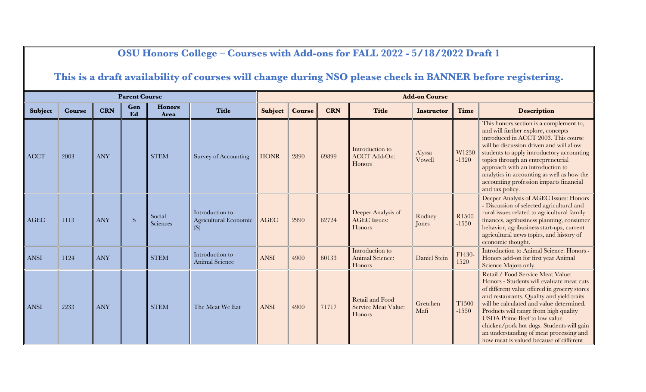## **OSU Honors College – Courses with Add-ons for FALL 2022 - 5/18/2022 Draft 1**

## **This is a draft availability of courses will change during NSO please check in BANNER before registering.**

|             |               |            | <b>Parent Course</b> |                       |                                                        |             |               |            |                                                         | <b>Add-on Course</b> |                  |                                                                                                                                                                                                                                                                                                                                                                                                                                            |
|-------------|---------------|------------|----------------------|-----------------------|--------------------------------------------------------|-------------|---------------|------------|---------------------------------------------------------|----------------------|------------------|--------------------------------------------------------------------------------------------------------------------------------------------------------------------------------------------------------------------------------------------------------------------------------------------------------------------------------------------------------------------------------------------------------------------------------------------|
| Subject     | <b>Course</b> | <b>CRN</b> | Gen<br>Ed            | <b>Honors</b><br>Area | <b>Title</b>                                           | Subject     | <b>Course</b> | <b>CRN</b> | <b>Title</b>                                            | <b>Instructor</b>    | <b>Time</b>      | <b>Description</b>                                                                                                                                                                                                                                                                                                                                                                                                                         |
| <b>ACCT</b> | 2003          | <b>ANY</b> |                      | <b>STEM</b>           | Survey of Accounting                                   | <b>HONR</b> | 2890          | 69899      | Introduction to<br><b>ACCT Add-On:</b><br>Honors        | Alyssa<br>Vowell     | W1230<br>$-1320$ | This honors section is a complement to,<br>and will further explore, concepts<br>introduced in ACCT 2003. This course<br>will be discussion driven and will allow<br>students to apply introductory accounting<br>topics through an entrepreneurial<br>approach with an introduction to<br>analytics in accounting as well as how the<br>accounting profession impacts financial<br>and tax policy.                                        |
| <b>AGEC</b> | 1113          | <b>ANY</b> | S                    | Social<br>Sciences    | Introduction to<br><b>Agricultural Economic</b><br>(S) | AGEC        | 2990          | 62724      | Deeper Analysis of<br><b>AGEC</b> Issues:<br>Honors     | Rodney<br>Jones      | R1500<br>$-1550$ | Deeper Analysis of AGEC Issues: Honors<br>Discussion of selected agricultural and<br>rural issues related to agricultural family<br>finances, agribusiness planning, consumer<br>behavior, agribusiness start-ups, current<br>agricultural news topics, and history of<br>economic thought.                                                                                                                                                |
| <b>ANSI</b> | 1124          | <b>ANY</b> |                      | <b>STEM</b>           | Introduction to<br><b>Animal Science</b>               | <b>ANSI</b> | 4900          | 60133      | Introduction to<br>Animal Science:<br>Honors            | Daniel Stein         | F1430-<br>1520   | Introduction to Animal Science: Honors -<br>Honors add-on for first year Animal<br><b>Science Majors only</b>                                                                                                                                                                                                                                                                                                                              |
| <b>ANSI</b> | 2233          | <b>ANY</b> |                      | <b>STEM</b>           | The Meat We Eat                                        | <b>ANSI</b> | 4900          | 71717      | <b>Retail and Food</b><br>Service Meat Value:<br>Honors | Gretchen<br>Mafi     | T1500<br>$-1550$ | Retail / Food Service Meat Value:<br>Honors - Students will evaluate meat cuts<br>of different value offered in grocery stores<br>and restaurants. Quality and yield traits<br>will be calculated and value determined.<br>Products will range from high quality<br><b>USDA</b> Prime Beef to low value<br>chicken/pork hot dogs. Students will gain<br>an understanding of meat processing and<br>how meat is valued because of different |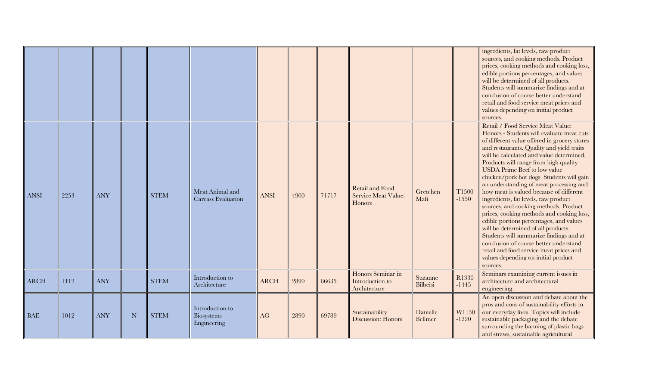|             |      |            |             |             |                                              |             |      |       |                                                                |                            |                  | ingredients, fat levels, raw product<br>sources, and cooking methods. Product<br>prices, cooking methods and cooking loss,<br>edible portions percentages, and values<br>will be determined of all products.<br>Students will summarize findings and at<br>conclusion of course better understand<br>retail and food service meat prices and<br>values depending on initial product<br>sources.                                                                                                                                                                                                                                                                                                                                                                                                                                               |
|-------------|------|------------|-------------|-------------|----------------------------------------------|-------------|------|-------|----------------------------------------------------------------|----------------------------|------------------|-----------------------------------------------------------------------------------------------------------------------------------------------------------------------------------------------------------------------------------------------------------------------------------------------------------------------------------------------------------------------------------------------------------------------------------------------------------------------------------------------------------------------------------------------------------------------------------------------------------------------------------------------------------------------------------------------------------------------------------------------------------------------------------------------------------------------------------------------|
| <b>ANSI</b> | 2253 | <b>ANY</b> |             | <b>STEM</b> | Meat Animal and<br>Carcass Evaluation        | <b>ANSI</b> | 4900 | 71717 | <b>Retail and Food</b><br><b>Service Meat Value:</b><br>Honors | Gretchen<br>Mafi           | T1500<br>$-1550$ | Retail / Food Service Meat Value:<br>Honors - Students will evaluate meat cuts<br>of different value offered in grocery stores<br>and restaurants. Quality and yield traits<br>will be calculated and value determined.<br>Products will range from high quality<br><b>USDA</b> Prime Beef to low value<br>chicken/pork hot dogs. Students will gain<br>an understanding of meat processing and<br>how meat is valued because of different<br>ingredients, fat levels, raw product<br>sources, and cooking methods. Product<br>prices, cooking methods and cooking loss,<br>edible portions percentages, and values<br>will be determined of all products.<br>Students will summarize findings and at<br>conclusion of course better understand<br>retail and food service meat prices and<br>values depending on initial product<br>sources. |
| <b>ARCH</b> | 1112 | <b>ANY</b> |             | <b>STEM</b> | Introduction to<br>Architecture              | <b>ARCH</b> | 2890 | 66635 | Honors Seminar in<br>Introduction to<br>Architecture           | Suzanne<br><b>Bilbeisi</b> | R1330<br>$-1445$ | Seminars examining current issues in<br>architecture and architectural<br>engineering.                                                                                                                                                                                                                                                                                                                                                                                                                                                                                                                                                                                                                                                                                                                                                        |
| <b>BAE</b>  | 1012 | <b>ANY</b> | $\mathbf N$ | <b>STEM</b> | Introduction to<br>Biosystems<br>Engineering | AG          | 2890 | 69789 | Sustainability<br>Discussion: Honors                           | Danielle<br>Bellmer        | W1130<br>$-1220$ | An open discussion and debate about the<br>pros and cons of sustainability efforts in<br>our everyday lives. Topics will include<br>sustainable packaging and the debate<br>surrounding the banning of plastic bags<br>and straws, sustainable agricultural                                                                                                                                                                                                                                                                                                                                                                                                                                                                                                                                                                                   |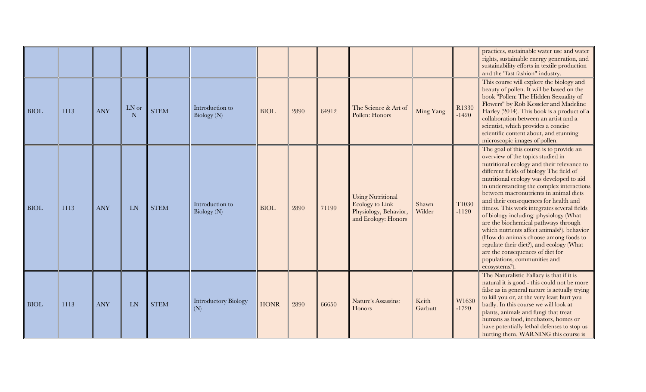|             |      |            |            |             |                                    |             |      |       |                                                                                             |                  |                  | practices, sustainable water use and water<br>rights, sustainable energy generation, and<br>sustainability efforts in textile production<br>and the "fast fashion" industry.                                                                                                                                                                                                                                                                                                                                                                                                                                                                                                                                  |
|-------------|------|------------|------------|-------------|------------------------------------|-------------|------|-------|---------------------------------------------------------------------------------------------|------------------|------------------|---------------------------------------------------------------------------------------------------------------------------------------------------------------------------------------------------------------------------------------------------------------------------------------------------------------------------------------------------------------------------------------------------------------------------------------------------------------------------------------------------------------------------------------------------------------------------------------------------------------------------------------------------------------------------------------------------------------|
| <b>BIOL</b> | 1113 | <b>ANY</b> | LN or<br>N | <b>STEM</b> | Introduction to<br>Biology (N)     | <b>BIOL</b> | 2890 | 64912 | The Science & Art of<br>Pollen: Honors                                                      | Ming Yang        | R1330<br>$-1420$ | This course will explore the biology and<br>beauty of pollen. It will be based on the<br>book "Pollen: The Hidden Sexuality of<br>Flowers" by Rob Kesseler and Madeline<br>Harley (2014). This book is a product of a<br>collaboration between an artist and a<br>scientist, which provides a concise<br>scientific content about, and stunning<br>microscopic images of pollen.                                                                                                                                                                                                                                                                                                                              |
| <b>BIOL</b> | 1113 | <b>ANY</b> | <b>LN</b>  | <b>STEM</b> | Introduction to<br>Biology (N)     | <b>BIOL</b> | 2890 | 71199 | <b>Using Nutritional</b><br>Ecology to Link<br>Physiology, Behavior,<br>and Ecology: Honors | Shawn<br>Wilder  | T1030<br>$-1120$ | The goal of this course is to provide an<br>overview of the topics studied in<br>nutritional ecology and their relevance to<br>different fields of biology The field of<br>nutritional ecology was developed to aid<br>in understanding the complex interactions<br>between macronutrients in animal diets<br>and their consequences for health and<br>fitness. This work integrates several fields<br>of biology including: physiology (What<br>are the biochemical pathways through<br>which nutrients affect animals?), behavior<br>(How do animals choose among foods to<br>regulate their diet?), and ecology (What<br>are the consequences of diet for<br>populations, communities and<br>ecosystems?). |
| <b>BIOL</b> | 1113 | <b>ANY</b> | <b>LN</b>  | <b>STEM</b> | <b>Introductory Biology</b><br>(N) | <b>HONR</b> | 2890 | 66650 | Nature's Assassins:<br><b>Honors</b>                                                        | Keith<br>Garbutt | W1630<br>$-1720$ | The Naturalistic Fallacy is that if it is<br>natural it is good - this could not be more<br>false as in general nature is actually trying<br>to kill you or, at the very least hurt you<br>badly. In this course we will look at<br>plants, animals and fungi that treat<br>humans as food, incubators, homes or<br>have potentially lethal defenses to stop us<br>hurting them. WARNING this course is                                                                                                                                                                                                                                                                                                       |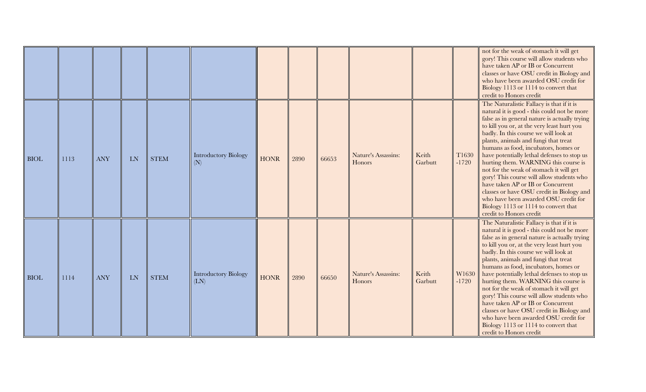|             |      |            |           |             |                                     |             |      |       |                               |                  |                  | not for the weak of stomach it will get<br>gory! This course will allow students who<br>have taken AP or IB or Concurrent<br>classes or have OSU credit in Biology and<br>who have been awarded OSU credit for<br>Biology 1113 or 1114 to convert that<br>credit to Honors credit                                                                                                                                                                                                                                                                                                                                                                                                            |
|-------------|------|------------|-----------|-------------|-------------------------------------|-------------|------|-------|-------------------------------|------------------|------------------|----------------------------------------------------------------------------------------------------------------------------------------------------------------------------------------------------------------------------------------------------------------------------------------------------------------------------------------------------------------------------------------------------------------------------------------------------------------------------------------------------------------------------------------------------------------------------------------------------------------------------------------------------------------------------------------------|
| <b>BIOL</b> | 1113 | <b>ANY</b> | LN        | <b>STEM</b> | <b>Introductory Biology</b><br>(N)  | <b>HONR</b> | 2890 | 66653 | Nature's Assassins:<br>Honors | Keith<br>Garbutt | T1630<br>$-1720$ | The Naturalistic Fallacy is that if it is<br>natural it is good - this could not be more<br>false as in general nature is actually trying<br>to kill you or, at the very least hurt you<br>badly. In this course we will look at<br>plants, animals and fungi that treat<br>humans as food, incubators, homes or<br>have potentially lethal defenses to stop us<br>hurting them. WARNING this course is<br>not for the weak of stomach it will get<br>gory! This course will allow students who<br>have taken AP or IB or Concurrent<br>classes or have OSU credit in Biology and<br>who have been awarded OSU credit for<br>Biology 1113 or 1114 to convert that<br>credit to Honors credit |
| <b>BIOL</b> | 1114 | <b>ANY</b> | <b>LN</b> | <b>STEM</b> | <b>Introductory Biology</b><br>(LN) | <b>HONR</b> | 2890 | 66650 | Nature's Assassins:<br>Honors | Keith<br>Garbutt | W1630<br>$-1720$ | The Naturalistic Fallacy is that if it is<br>natural it is good - this could not be more<br>false as in general nature is actually trying<br>to kill you or, at the very least hurt you<br>badly. In this course we will look at<br>plants, animals and fungi that treat<br>humans as food, incubators, homes or<br>have potentially lethal defenses to stop us<br>hurting them. WARNING this course is<br>not for the weak of stomach it will get<br>gory! This course will allow students who<br>have taken AP or IB or Concurrent<br>classes or have OSU credit in Biology and<br>who have been awarded OSU credit for<br>Biology 1113 or 1114 to convert that<br>credit to Honors credit |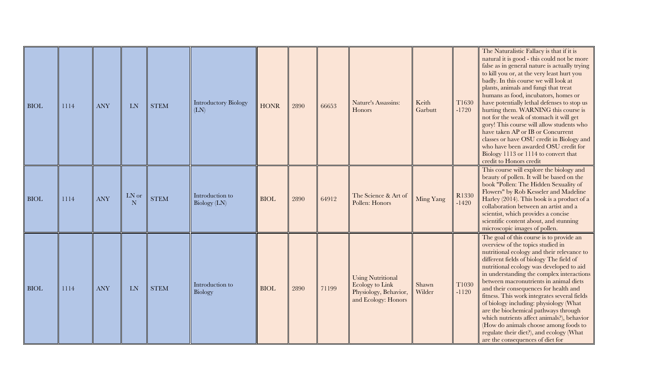| <b>BIOL</b> | 1114 | <b>ANY</b> | <b>LN</b>  | <b>STEM</b> | <b>Introductory Biology</b><br>(LN) | <b>HONR</b> | 2890 | 66653 | Nature's Assassins:<br>Honors                                                               | Keith<br>Garbutt | T1630<br>$-1720$ | The Naturalistic Fallacy is that if it is<br>natural it is good - this could not be more<br>false as in general nature is actually trying<br>to kill you or, at the very least hurt you<br>badly. In this course we will look at<br>plants, animals and fungi that treat<br>humans as food, incubators, homes or<br>have potentially lethal defenses to stop us<br>hurting them. WARNING this course is<br>not for the weak of stomach it will get<br>gory! This course will allow students who<br>have taken AP or IB or Concurrent<br>classes or have OSU credit in Biology and<br>who have been awarded OSU credit for<br>Biology 1113 or 1114 to convert that<br>credit to Honors credit |
|-------------|------|------------|------------|-------------|-------------------------------------|-------------|------|-------|---------------------------------------------------------------------------------------------|------------------|------------------|----------------------------------------------------------------------------------------------------------------------------------------------------------------------------------------------------------------------------------------------------------------------------------------------------------------------------------------------------------------------------------------------------------------------------------------------------------------------------------------------------------------------------------------------------------------------------------------------------------------------------------------------------------------------------------------------|
| <b>BIOL</b> | 1114 | <b>ANY</b> | LN or<br>N | <b>STEM</b> | Introduction to<br>Biology (LN)     | <b>BIOL</b> | 2890 | 64912 | The Science & Art of<br>Pollen: Honors                                                      | Ming Yang        | R1330<br>$-1420$ | This course will explore the biology and<br>beauty of pollen. It will be based on the<br>book "Pollen: The Hidden Sexuality of<br>Flowers" by Rob Kesseler and Madeline<br>Harley (2014). This book is a product of a<br>collaboration between an artist and a<br>scientist, which provides a concise<br>scientific content about, and stunning<br>microscopic images of pollen.                                                                                                                                                                                                                                                                                                             |
| <b>BIOL</b> | 1114 | <b>ANY</b> | <b>LN</b>  | <b>STEM</b> | Introduction to<br>Biology          | <b>BIOL</b> | 2890 | 71199 | <b>Using Nutritional</b><br>Ecology to Link<br>Physiology, Behavior,<br>and Ecology: Honors | Shawn<br>Wilder  | T1030<br>$-1120$ | The goal of this course is to provide an<br>overview of the topics studied in<br>nutritional ecology and their relevance to<br>different fields of biology The field of<br>nutritional ecology was developed to aid<br>in understanding the complex interactions<br>between macronutrients in animal diets<br>and their consequences for health and<br>fitness. This work integrates several fields<br>of biology including: physiology (What<br>are the biochemical pathways through<br>which nutrients affect animals?), behavior<br>(How do animals choose among foods to<br>regulate their diet?), and ecology (What<br>are the consequences of diet for                                 |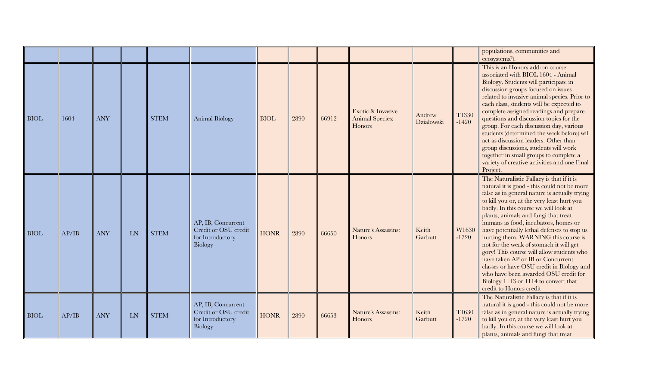|             |       |            |    |             |                                                                           |             |      |       |                                                       |                      |                  | populations, communities and<br>ecosystems?).                                                                                                                                                                                                                                                                                                                                                                                                                                                                                                                                                                                                                                                |
|-------------|-------|------------|----|-------------|---------------------------------------------------------------------------|-------------|------|-------|-------------------------------------------------------|----------------------|------------------|----------------------------------------------------------------------------------------------------------------------------------------------------------------------------------------------------------------------------------------------------------------------------------------------------------------------------------------------------------------------------------------------------------------------------------------------------------------------------------------------------------------------------------------------------------------------------------------------------------------------------------------------------------------------------------------------|
| <b>BIOL</b> | 1604  | <b>ANY</b> |    | <b>STEM</b> | <b>Animal Biology</b>                                                     | <b>BIOL</b> | 2890 | 66912 | Exotic & Invasive<br><b>Animal Species:</b><br>Honors | Andrew<br>Dzialowski | T1330<br>$-1420$ | This is an Honors add-on course<br>associated with BIOL 1604 - Animal<br>Biology. Students will participate in<br>discussion groups focused on issues<br>related to invasive animal species. Prior to<br>each class, students will be expected to<br>complete assigned readings and prepare<br>questions and discussion topics for the<br>group. For each discussion day, various<br>students (determined the week before) will<br>act as discussion leaders. Other than<br>group discussions, students will work<br>together in small groups to complete a<br>variety of creative activities and one Final<br>Project.                                                                      |
| <b>BIOL</b> | AP/IB | <b>ANY</b> | LN | <b>STEM</b> | AP, IB, Concurrent<br>Credit or OSU credit<br>for Introductory<br>Biology | <b>HONR</b> | 2890 | 66650 | Nature's Assassins:<br>Honors                         | Keith<br>Garbutt     | W1630<br>$-1720$ | The Naturalistic Fallacy is that if it is<br>natural it is good - this could not be more<br>false as in general nature is actually trying<br>to kill you or, at the very least hurt you<br>badly. In this course we will look at<br>plants, animals and fungi that treat<br>humans as food, incubators, homes or<br>have potentially lethal defenses to stop us<br>hurting them. WARNING this course is<br>not for the weak of stomach it will get<br>gory! This course will allow students who<br>have taken AP or IB or Concurrent<br>classes or have OSU credit in Biology and<br>who have been awarded OSU credit for<br>Biology 1113 or 1114 to convert that<br>credit to Honors credit |
| <b>BIOL</b> | AP/IB | <b>ANY</b> | LN | <b>STEM</b> | AP, IB, Concurrent<br>Credit or OSU credit<br>for Introductory<br>Biology | <b>HONR</b> | 2890 | 66653 | Nature's Assassins:<br>Honors                         | Keith<br>Garbutt     | T1630<br>$-1720$ | The Naturalistic Fallacy is that if it is<br>natural it is good - this could not be more<br>false as in general nature is actually trying<br>to kill you or, at the very least hurt you<br>badly. In this course we will look at<br>plants, animals and fungi that treat                                                                                                                                                                                                                                                                                                                                                                                                                     |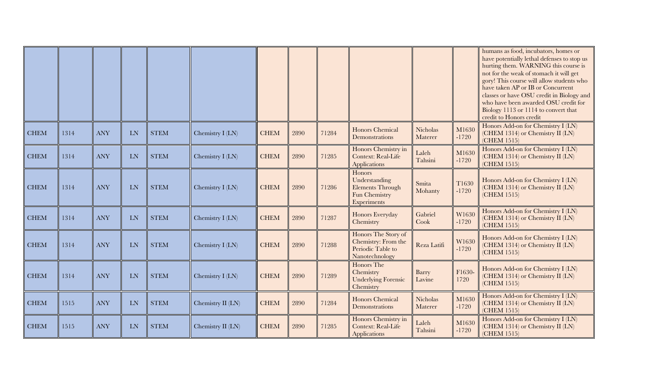|             |      |            |            |             |                   |             |      |       |                                                                                    |                            |                  | humans as food, incubators, homes or<br>have potentially lethal defenses to stop us<br>hurting them. WARNING this course is<br>not for the weak of stomach it will get<br>gory! This course will allow students who<br>have taken AP or IB or Concurrent<br>classes or have OSU credit in Biology and<br>who have been awarded OSU credit for<br>Biology 1113 or 1114 to convert that<br>credit to Honors credit |
|-------------|------|------------|------------|-------------|-------------------|-------------|------|-------|------------------------------------------------------------------------------------|----------------------------|------------------|------------------------------------------------------------------------------------------------------------------------------------------------------------------------------------------------------------------------------------------------------------------------------------------------------------------------------------------------------------------------------------------------------------------|
| <b>CHEM</b> | 1314 | <b>ANY</b> | <b>LN</b>  | <b>STEM</b> | Chemistry I (LN)  | <b>CHEM</b> | 2890 | 71284 | <b>Honors Chemical</b><br>Demonstrations                                           | <b>Nicholas</b><br>Materer | M1630<br>$-1720$ | Honors Add-on for Chemistry I (LN)<br>(CHEM 1314) or Chemistry II (LN)<br>(CHEM 1515)                                                                                                                                                                                                                                                                                                                            |
| <b>CHEM</b> | 1314 | <b>ANY</b> | ${\rm LN}$ | <b>STEM</b> | Chemistry I (LN)  | <b>CHEM</b> | 2890 | 71285 | Honors Chemistry in<br><b>Context: Real-Life</b><br>Applications                   | Laleh<br>Tahsini           | M1630<br>$-1720$ | Honors Add-on for Chemistry I (LN)<br>(CHEM 1314) or Chemistry II (LN)<br>(CHEM 1515)                                                                                                                                                                                                                                                                                                                            |
| <b>CHEM</b> | 1314 | <b>ANY</b> | <b>LN</b>  | <b>STEM</b> | Chemistry I (LN)  | <b>CHEM</b> | 2890 | 71286 | Honors<br>Understanding<br><b>Elements Through</b><br>Fun Chemistry<br>Experiments | Smita<br>Mohanty           | T1630<br>$-1720$ | Honors Add-on for Chemistry I (LN)<br>(CHEM 1314) or Chemistry II (LN)<br>(CHEM 1515)                                                                                                                                                                                                                                                                                                                            |
| <b>CHEM</b> | 1314 | <b>ANY</b> | ${\rm LN}$ | <b>STEM</b> | Chemistry I (LN)  | <b>CHEM</b> | 2890 | 71287 | Honors Everyday<br>Chemistry                                                       | Gabriel<br>Cook            | W1630<br>$-1720$ | Honors Add-on for Chemistry I (LN)<br>(CHEM 1314) or Chemistry II (LN)<br>(CHEM 1515)                                                                                                                                                                                                                                                                                                                            |
| <b>CHEM</b> | 1314 | <b>ANY</b> | <b>LN</b>  | <b>STEM</b> | Chemistry I (LN)  | <b>CHEM</b> | 2890 | 71288 | Honors The Story of<br>Chemistry: From the<br>Periodic Table to<br>Nanotechnology  | Reza Latifi                | W1630<br>$-1720$ | Honors Add-on for Chemistry I (LN)<br>(CHEM 1314) or Chemistry II (LN)<br>(CHEM 1515)                                                                                                                                                                                                                                                                                                                            |
| <b>CHEM</b> | 1314 | <b>ANY</b> | <b>LN</b>  | <b>STEM</b> | Chemistry I (LN)  | <b>CHEM</b> | 2890 | 71289 | Honors The<br>Chemistry<br><b>Underlying Forensic</b><br>Chemistry                 | Barry<br>Lavine            | F1630-<br>1720   | Honors Add-on for Chemistry I (LN)<br>(CHEM 1314) or Chemistry II (LN)<br>(CHEM 1515)                                                                                                                                                                                                                                                                                                                            |
| <b>CHEM</b> | 1515 | <b>ANY</b> | ${\rm LN}$ | <b>STEM</b> | Chemistry II (LN) | <b>CHEM</b> | 2890 | 71284 | <b>Honors Chemical</b><br>Demonstrations                                           | <b>Nicholas</b><br>Materer | M1630<br>$-1720$ | Honors Add-on for Chemistry I (LN)<br>(CHEM 1314) or Chemistry II (LN)<br>(CHEM 1515)                                                                                                                                                                                                                                                                                                                            |
| <b>CHEM</b> | 1515 | <b>ANY</b> | ${\rm LN}$ | <b>STEM</b> | Chemistry II (LN) | <b>CHEM</b> | 2890 | 71285 | Honors Chemistry in<br><b>Context: Real-Life</b><br><b>Applications</b>            | Laleh<br>Tahsini           | M1630<br>$-1720$ | Honors Add-on for Chemistry I (LN)<br>(CHEM 1314) or Chemistry II (LN)<br>(CHEM 1515)                                                                                                                                                                                                                                                                                                                            |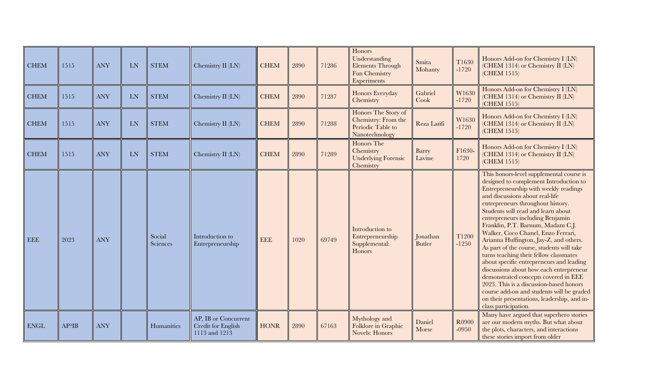| <b>CHEM</b> | 1515  | <b>ANY</b> | LN        | <b>STEM</b>        | Chemistry II (LN)                                           | <b>CHEM</b> | 2890 | 71286 | Honors<br>Understanding<br>Elements Through<br>Fun Chemistry<br>Experiments       | Smita<br>Mohanty          | T1630<br>$-1720$             | Honors Add-on for Chemistry I (LN)<br>(CHEM 1314) or Chemistry II (LN)<br>(CHEM 1515)                                                                                                                                                                                                                                                                                                                                                                                                                                                                                                                                                                                                                                                                                                   |
|-------------|-------|------------|-----------|--------------------|-------------------------------------------------------------|-------------|------|-------|-----------------------------------------------------------------------------------|---------------------------|------------------------------|-----------------------------------------------------------------------------------------------------------------------------------------------------------------------------------------------------------------------------------------------------------------------------------------------------------------------------------------------------------------------------------------------------------------------------------------------------------------------------------------------------------------------------------------------------------------------------------------------------------------------------------------------------------------------------------------------------------------------------------------------------------------------------------------|
| <b>CHEM</b> | 1515  | <b>ANY</b> | <b>LN</b> | <b>STEM</b>        | Chemistry II (LN)                                           | <b>CHEM</b> | 2890 | 71287 | Honors Everyday<br>Chemistry                                                      | Gabriel<br>Cook           | W1630<br>$-1720$             | Honors Add-on for Chemistry I (LN)<br>(CHEM 1314) or Chemistry II (LN)<br>(CHEM 1515)                                                                                                                                                                                                                                                                                                                                                                                                                                                                                                                                                                                                                                                                                                   |
| <b>CHEM</b> | 1515  | <b>ANY</b> | LN        | <b>STEM</b>        | Chemistry II (LN)                                           | <b>CHEM</b> | 2890 | 71288 | Honors The Story of<br>Chemistry: From the<br>Periodic Table to<br>Nanotechnology | Reza Latifi               | W1630<br>$-1720$             | Honors Add-on for Chemistry I (LN)<br>(CHEM 1314) or Chemistry II (LN)<br>(CHEM 1515)                                                                                                                                                                                                                                                                                                                                                                                                                                                                                                                                                                                                                                                                                                   |
| <b>CHEM</b> | 1515  | <b>ANY</b> | LN        | <b>STEM</b>        | Chemistry II (LN)                                           | <b>CHEM</b> | 2890 | 71289 | Honors The<br>Chemistry<br><b>Underlying Forensic</b><br>Chemistry                | Barry<br>Lavine           | F1630-<br>1720               | Honors Add-on for Chemistry I (LN)<br>(CHEM 1314) or Chemistry II (LN)<br>(CHEM 1515)                                                                                                                                                                                                                                                                                                                                                                                                                                                                                                                                                                                                                                                                                                   |
| <b>EEE</b>  | 2023  | <b>ANY</b> |           | Social<br>Sciences | Introduction to<br>Entrepreneurship                         | <b>EEE</b>  | 1020 | 69749 | Introduction to<br>Entrepreneurship<br>Supplemental:<br>Honors                    | Jonathan<br><b>Butler</b> | T <sub>1200</sub><br>$-1250$ | This honors-level supplemental course is<br>designed to complement Introduction to<br>Entrepreneurship with weekly readings<br>and discussions about real-life<br>entrepreneurs throughout history.<br>Students will read and learn about<br>entrepreneurs including Benjamin<br>Franklin, P.T. Barnum, Madam C.J.<br>Walker, Coco Chanel, Enzo Ferrari,<br>Arianna Huffington, Jay-Z, and others.<br>As part of the course, students will take<br>turns teaching their fellow classmates<br>about specific entrepreneurs and leading<br>discussions about how each entrepreneur<br>demonstrated concepts covered in EEE<br>2023. This is a discussion-based honors<br>course add-on and students will be graded<br>on their presentations, leadership, and in-<br>class participation. |
| <b>ENGL</b> | AP?IB | <b>ANY</b> |           | Humanities         | AP, IB or Concurrent<br>Credit for English<br>1113 and 1213 | <b>HONR</b> | 2890 | 67163 | Mythology and<br>Folklore in Graphic<br><b>Novels: Honors</b>                     | Daniel<br>Morse           | R0900<br>$-0950$             | Many have argued that superhero stories<br>are our modern myths. But what about<br>the plots, characters, and interactions<br>these stories import from older                                                                                                                                                                                                                                                                                                                                                                                                                                                                                                                                                                                                                           |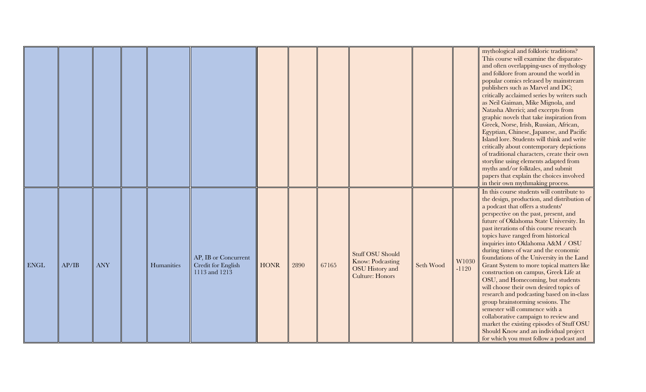|             |       |            |            |                                                             |             |      |       |                                                                                                 |           |                  | mythological and folkloric traditions?<br>This course will examine the disparate-<br>and often overlapping-uses of mythology<br>and folklore from around the world in<br>popular comics released by mainstream<br>publishers such as Marvel and DC;<br>critically acclaimed series by writers such                                                                                                                                                                                                                                                                                                                                                                                                                                                                                                                                                                                                                                  |
|-------------|-------|------------|------------|-------------------------------------------------------------|-------------|------|-------|-------------------------------------------------------------------------------------------------|-----------|------------------|-------------------------------------------------------------------------------------------------------------------------------------------------------------------------------------------------------------------------------------------------------------------------------------------------------------------------------------------------------------------------------------------------------------------------------------------------------------------------------------------------------------------------------------------------------------------------------------------------------------------------------------------------------------------------------------------------------------------------------------------------------------------------------------------------------------------------------------------------------------------------------------------------------------------------------------|
|             |       |            |            |                                                             |             |      |       |                                                                                                 |           |                  | as Neil Gaiman, Mike Mignola, and<br>Natasha Alterici; and excerpts from<br>graphic novels that take inspiration from<br>Greek, Norse, Irish, Russian, African,<br>Egyptian, Chinese, Japanese, and Pacific<br>Island lore. Students will think and write<br>critically about contemporary depictions<br>of traditional characters, create their own<br>storyline using elements adapted from<br>myths and/or folktales, and submit<br>papers that explain the choices involved                                                                                                                                                                                                                                                                                                                                                                                                                                                     |
| <b>ENGL</b> | AP/IB | <b>ANY</b> | Humanities | AP, IB or Concurrent<br>Credit for English<br>1113 and 1213 | <b>HONR</b> | 2890 | 67165 | <b>Stuff OSU Should</b><br>Know: Podcasting<br><b>OSU</b> History and<br><b>Culture: Honors</b> | Seth Wood | W1030<br>$-1120$ | in their own mythmaking process.<br>In this course students will contribute to<br>the design, production, and distribution of<br>a podcast that offers a students'<br>perspective on the past, present, and<br>future of Oklahoma State University. In<br>past iterations of this course research<br>topics have ranged from historical<br>inquiries into Oklahoma A&M / OSU<br>during times of war and the economic<br>foundations of the University in the Land<br>Grant System to more topical matters like<br>construction on campus, Greek Life at<br>OSU, and Homecoming, but students<br>will choose their own desired topics of<br>research and podcasting based on in-class<br>group brainstorming sessions. The<br>semester will commence with a<br>collaborative campaign to review and<br>market the existing episodes of Stuff OSU<br>Should Know and an individual project<br>for which you must follow a podcast and |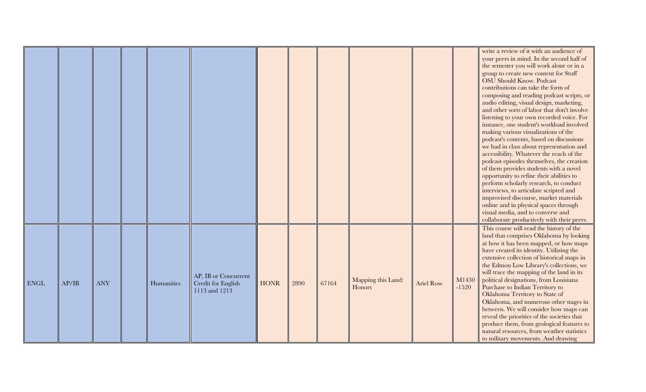|             |       |            |            |                                                             |             |      |       |                              |                   |                  | write a review of it with an audience of<br>your peers in mind. In the second half of<br>the semester you will work alone or in a<br>group to create new content for Stuff<br><b>OSU Should Know. Podcast</b><br>contributions can take the form of<br>composing and reading podcast scripts, or<br>audio editing, visual design, marketing,<br>and other sorts of labor that don't involve<br>listening to your own recorded voice. For<br>instance, one student's workload involved<br>making various visualizations of the<br>podcast's contents, based on discussions<br>we had in class about representation and<br>accessibility. Whatever the reach of the<br>podcast episodes themselves, the creation<br>of them provides students with a novel<br>opportunity to refine their abilities to<br>perform scholarly research, to conduct<br>interviews, to articulate scripted and<br>improvised discourse, market materials<br>online and in physical spaces through<br>visual media, and to converse and<br>collaborate productively with their peers. |
|-------------|-------|------------|------------|-------------------------------------------------------------|-------------|------|-------|------------------------------|-------------------|------------------|----------------------------------------------------------------------------------------------------------------------------------------------------------------------------------------------------------------------------------------------------------------------------------------------------------------------------------------------------------------------------------------------------------------------------------------------------------------------------------------------------------------------------------------------------------------------------------------------------------------------------------------------------------------------------------------------------------------------------------------------------------------------------------------------------------------------------------------------------------------------------------------------------------------------------------------------------------------------------------------------------------------------------------------------------------------|
| <b>ENGL</b> | AP/IB | <b>ANY</b> | Humanities | AP, IB or Concurrent<br>Credit for English<br>1113 and 1213 | <b>HONR</b> | 2890 | 67164 | Mapping this Land:<br>Honors | <b>Ariel Ross</b> | M1430<br>$-1520$ | This course will read the history of the<br>land that comprises Oklahoma by looking<br>at how it has been mapped, or how maps<br>have created its identity. Utilizing the<br>extensive collection of historical maps in<br>the Edmon Low Library's collections, we<br>will trace the mapping of the land in its<br>political designations, from Louisiana<br>Purchase to Indian Territory to<br>Oklahoma Territory to State of<br>Oklahoma, and numerous other stages in<br>between. We will consider how maps can<br>reveal the priorities of the societies that<br>produce them, from geological features to<br>natural resources, from weather statistics<br>to military movements. And drawing                                                                                                                                                                                                                                                                                                                                                             |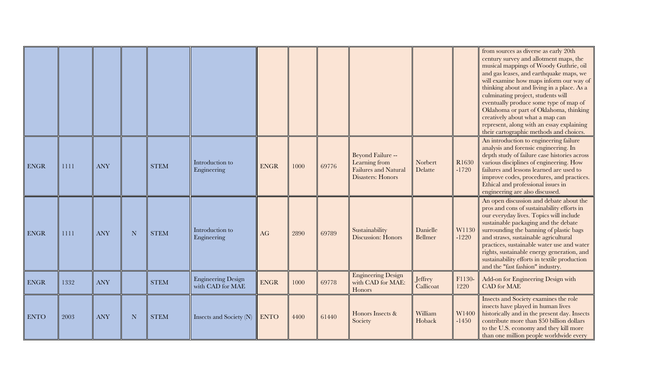|             |      |            |             |             |                                               |             |      |       |                                                                                               |                      |                  | from sources as diverse as early 20th<br>century survey and allotment maps, the<br>musical mappings of Woody Guthrie, oil<br>and gas leases, and earthquake maps, we<br>will examine how maps inform our way of<br>thinking about and living in a place. As a<br>culminating project, students will<br>eventually produce some type of map of<br>Oklahoma or part of Oklahoma, thinking<br>creatively about what a map can<br>represent, along with an essay explaining<br>their cartographic methods and choices. |
|-------------|------|------------|-------------|-------------|-----------------------------------------------|-------------|------|-------|-----------------------------------------------------------------------------------------------|----------------------|------------------|--------------------------------------------------------------------------------------------------------------------------------------------------------------------------------------------------------------------------------------------------------------------------------------------------------------------------------------------------------------------------------------------------------------------------------------------------------------------------------------------------------------------|
| <b>ENGR</b> | 1111 | <b>ANY</b> |             | <b>STEM</b> | Introduction to<br>Engineering                | <b>ENGR</b> | 1000 | 69776 | Beyond Failure --<br>Learning from<br><b>Failures and Natural</b><br><b>Disasters: Honors</b> | Norbert<br>Delatte   | R1630<br>$-1720$ | An introduction to engineering failure<br>analysis and forensic engineering. In<br>depth study of failure case histories across<br>various disciplines of engineering. How<br>failures and lessons learned are used to<br>improve codes, procedures, and practices.<br>Ethical and professional issues in<br>engineering are also discussed.                                                                                                                                                                       |
| <b>ENGR</b> | 1111 | <b>ANY</b> | N           | <b>STEM</b> | Introduction to<br>Engineering                | AG          | 2890 | 69789 | Sustainability<br>Discussion: Honors                                                          | Danielle<br>Bellmer  | W1130<br>$-1220$ | An open discussion and debate about the<br>pros and cons of sustainability efforts in<br>our everyday lives. Topics will include<br>sustainable packaging and the debate<br>surrounding the banning of plastic bags<br>and straws, sustainable agricultural<br>practices, sustainable water use and water<br>rights, sustainable energy generation, and<br>sustainability efforts in textile production<br>and the "fast fashion" industry.                                                                        |
| <b>ENGR</b> | 1332 | <b>ANY</b> |             | <b>STEM</b> | <b>Engineering Design</b><br>with CAD for MAE | <b>ENGR</b> | 1000 | 69778 | <b>Engineering Design</b><br>with CAD for MAE:<br>Honors                                      | Jeffrey<br>Callicoat | F1130-<br>1220   | Add-on for Engineering Design with<br><b>CAD</b> for MAE                                                                                                                                                                                                                                                                                                                                                                                                                                                           |
| <b>ENTO</b> | 2003 | <b>ANY</b> | $\mathbf N$ | <b>STEM</b> | Insects and Society (N)                       | <b>ENTO</b> | 4400 | 61440 | Honors Insects &<br>Society                                                                   | William<br>Hoback    | W1400<br>$-1450$ | Insects and Society examines the role<br>insects have played in human lives<br>historically and in the present day. Insects<br>contribute more than \$50 billion dollars<br>to the U.S. economy and they kill more<br>than one million people worldwide every                                                                                                                                                                                                                                                      |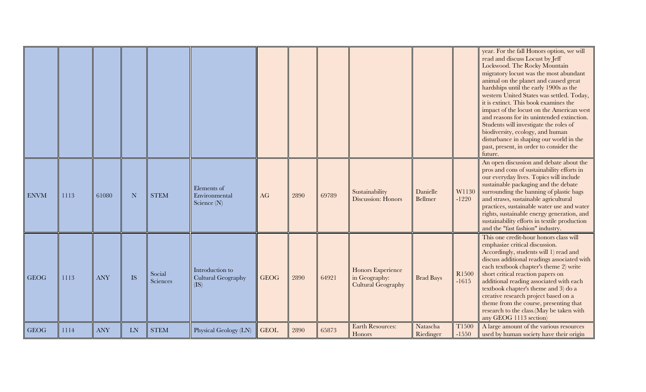|             |      |            |           |                    |                                               |             |      |       |                                                                 |                       |                  | year. For the fall Honors option, we will<br>read and discuss Locust by Jeff<br>Lockwood. The Rocky Mountain<br>migratory locust was the most abundant<br>animal on the planet and caused great<br>hardships until the early 1900s as the<br>western United States was settled. Today,<br>it is extinct. This book examines the<br>impact of the locust on the American west<br>and reasons for its unintended extinction.<br>Students will investigate the roles of<br>biodiversity, ecology, and human<br>disturbance in shaping our world in the<br>past, present, in order to consider the<br>future. |
|-------------|------|------------|-----------|--------------------|-----------------------------------------------|-------------|------|-------|-----------------------------------------------------------------|-----------------------|------------------|-----------------------------------------------------------------------------------------------------------------------------------------------------------------------------------------------------------------------------------------------------------------------------------------------------------------------------------------------------------------------------------------------------------------------------------------------------------------------------------------------------------------------------------------------------------------------------------------------------------|
| <b>ENVM</b> | 1113 | 61080      | N         | <b>STEM</b>        | Elements of<br>Environmental<br>Science (N)   | AG          | 2890 | 69789 | Sustainability<br>Discussion: Honors                            | Danielle<br>Bellmer   | W1130<br>$-1220$ | An open discussion and debate about the<br>pros and cons of sustainability efforts in<br>our everyday lives. Topics will include<br>sustainable packaging and the debate<br>surrounding the banning of plastic bags<br>and straws, sustainable agricultural<br>practices, sustainable water use and water<br>rights, sustainable energy generation, and<br>sustainability efforts in textile production<br>and the "fast fashion" industry.                                                                                                                                                               |
| <b>GEOG</b> | 1113 | <b>ANY</b> | <b>IS</b> | Social<br>Sciences | Introduction to<br>Cultural Geography<br>(IS) | <b>GEOG</b> | 2890 | 64921 | Honors Experience<br>in Geography:<br><b>Cultural Geography</b> | <b>Brad Bays</b>      | R1500<br>$-1615$ | This one credit-hour honors class will<br>emphasize critical discussion.<br>Accordingly, students will 1) read and<br>discuss additional readings associated with<br>each textbook chapter's theme 2) write<br>short critical reaction papers on<br>additional reading associated with each<br>textbook chapter's theme and 3) do a<br>creative research project based on a<br>theme from the course, presenting that<br>research to the class.(May be taken with<br>any GEOG 1113 section                                                                                                                |
| <b>GEOG</b> | 1114 | <b>ANY</b> | <b>LN</b> | <b>STEM</b>        | Physical Geology (LN)                         | <b>GEOL</b> | 2890 | 65873 | <b>Earth Resources:</b><br>Honors                               | Natascha<br>Riedinger | T1500<br>$-1550$ | A large amount of the various resources<br>used by human society have their origin                                                                                                                                                                                                                                                                                                                                                                                                                                                                                                                        |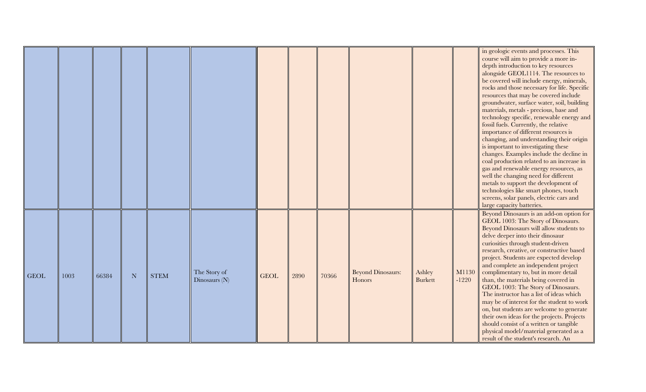|             |      |       |   |             |                                 |             |      |       |                                    |                          |                  | in geologic events and processes. This<br>course will aim to provide a more in-<br>depth introduction to key resources<br>alongside GEOL1114. The resources to<br>be covered will include energy, minerals,<br>rocks and those necessary for life. Specific<br>resources that may be covered include<br>groundwater, surface water, soil, building<br>materials, metals - precious, base and<br>technology specific, renewable energy and<br>fossil fuels. Currently, the relative<br>importance of different resources is<br>changing, and understanding their origin<br>is important to investigating these<br>changes. Examples include the decline in<br>coal production related to an increase in<br>gas and renewable energy resources, as<br>well the changing need for different<br>metals to support the development of<br>technologies like smart phones, touch<br>screens, solar panels, electric cars and<br>large capacity batteries. |
|-------------|------|-------|---|-------------|---------------------------------|-------------|------|-------|------------------------------------|--------------------------|------------------|----------------------------------------------------------------------------------------------------------------------------------------------------------------------------------------------------------------------------------------------------------------------------------------------------------------------------------------------------------------------------------------------------------------------------------------------------------------------------------------------------------------------------------------------------------------------------------------------------------------------------------------------------------------------------------------------------------------------------------------------------------------------------------------------------------------------------------------------------------------------------------------------------------------------------------------------------|
| <b>GEOL</b> | 1003 | 66384 | N | <b>STEM</b> | The Story of<br>Dinosaurs $(N)$ | <b>GEOL</b> | 2890 | 70366 | <b>Beyond Dinosaurs:</b><br>Honors | Ashley<br><b>Burkett</b> | M1130<br>$-1220$ | Beyond Dinosaurs is an add-on option for<br>GEOL 1003: The Story of Dinosaurs.<br>Beyond Dinosaurs will allow students to<br>delve deeper into their dinosaur<br>curiosities through student-driven<br>research, creative, or constructive based<br>project. Students are expected develop<br>and complete an independent project<br>complimentary to, but in more detail<br>than, the materials being covered in<br>GEOL 1003: The Story of Dinosaurs.<br>The instructor has a list of ideas which<br>may be of interest for the student to work<br>on, but students are welcome to generate<br>their own ideas for the projects. Projects<br>should consist of a written or tangible<br>physical model/material generated as a<br>result of the student's research. An                                                                                                                                                                           |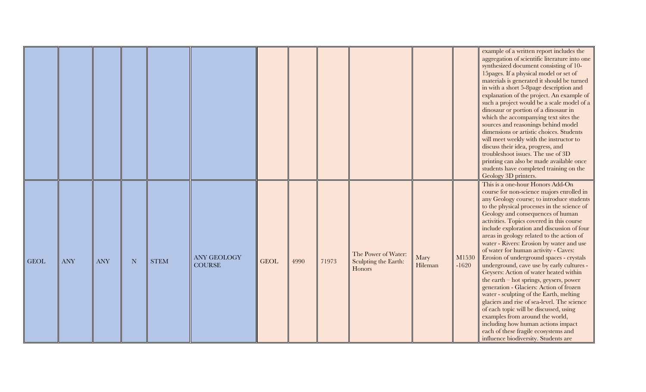|             |            |            |           |             |                                     |             |      |       |                                                       |                 |                  | example of a written report includes the<br>aggregation of scientific literature into one<br>synthesized document consisting of 10-<br>15 pages. If a physical model or set of<br>materials is generated it should be turned<br>in with a short 5-8page description and<br>explanation of the project. An example of<br>such a project would be a scale model of a<br>dinosaur or portion of a dinosaur in<br>which the accompanying text sites the<br>sources and reasonings behind model<br>dimensions or artistic choices. Students<br>will meet weekly with the instructor to<br>discuss their idea, progress, and<br>troubleshoot issues. The use of 3D<br>printing can also be made available once<br>students have completed training on the<br>Geology 3D printers.                                                                                                                                                                                      |
|-------------|------------|------------|-----------|-------------|-------------------------------------|-------------|------|-------|-------------------------------------------------------|-----------------|------------------|------------------------------------------------------------------------------------------------------------------------------------------------------------------------------------------------------------------------------------------------------------------------------------------------------------------------------------------------------------------------------------------------------------------------------------------------------------------------------------------------------------------------------------------------------------------------------------------------------------------------------------------------------------------------------------------------------------------------------------------------------------------------------------------------------------------------------------------------------------------------------------------------------------------------------------------------------------------|
| <b>GEOL</b> | <b>ANY</b> | <b>ANY</b> | ${\bf N}$ | <b>STEM</b> | <b>ANY GEOLOGY</b><br><b>COURSE</b> | <b>GEOL</b> | 4990 | 71973 | The Power of Water:<br>Sculpting the Earth:<br>Honors | Mary<br>Hileman | M1530<br>$-1620$ | This is a one-hour Honors Add-On<br>course for non-science majors enrolled in<br>any Geology course; to introduce students<br>to the physical processes in the science of<br>Geology and consequences of human<br>activities. Topics covered in this course<br>include exploration and discussion of four<br>areas in geology related to the action of<br>water - Rivers: Erosion by water and use<br>of water for human activity - Caves:<br>Erosion of underground spaces - crystals<br>underground, cave use by early cultures -<br>Geysers: Action of water heated within<br>the earth – hot springs, geysers, power<br>generation - Glaciers: Action of frozen<br>water - sculpting of the Earth, melting<br>glaciers and rise of sea-level. The science<br>of each topic will be discussed, using<br>examples from around the world,<br>including how human actions impact<br>each of these fragile ecosystems and<br>influence biodiversity. Students are |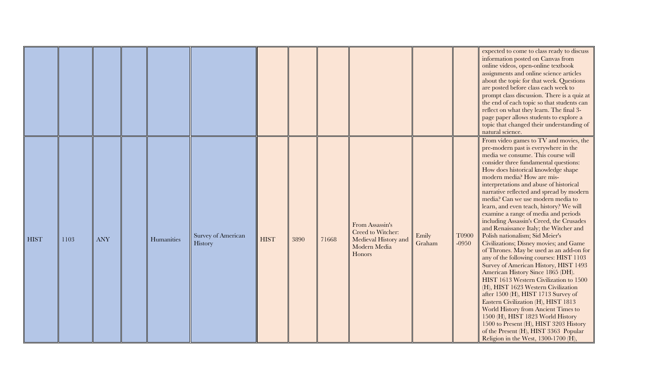|             |      |            |            |                               |             |      |       |                                                                                        |                 |                  | expected to come to class ready to discuss<br>information posted on Canvas from<br>online videos, open-online textbook<br>assignments and online science articles<br>about the topic for that week. Questions<br>are posted before class each week to<br>prompt class discussion. There is a quiz at<br>the end of each topic so that students can<br>reflect on what they learn. The final 3-<br>page paper allows students to explore a<br>topic that changed their understanding of<br>natural science.                                                                                                                                                                                                                                                                                                                                                                                                                                                                                                                                                                                                                                                      |
|-------------|------|------------|------------|-------------------------------|-------------|------|-------|----------------------------------------------------------------------------------------|-----------------|------------------|-----------------------------------------------------------------------------------------------------------------------------------------------------------------------------------------------------------------------------------------------------------------------------------------------------------------------------------------------------------------------------------------------------------------------------------------------------------------------------------------------------------------------------------------------------------------------------------------------------------------------------------------------------------------------------------------------------------------------------------------------------------------------------------------------------------------------------------------------------------------------------------------------------------------------------------------------------------------------------------------------------------------------------------------------------------------------------------------------------------------------------------------------------------------|
| <b>HIST</b> | 1103 | <b>ANY</b> | Humanities | Survey of American<br>History | <b>HIST</b> | 3890 | 71668 | From Assassin's<br>Creed to Witcher:<br>Medieval History and<br>Modern Media<br>Honors | Emily<br>Graham | T0900<br>$-0950$ | From video games to TV and movies, the<br>pre-modern past is everywhere in the<br>media we consume. This course will<br>consider three fundamental questions:<br>How does historical knowledge shape<br>modern media? How are mis-<br>interpretations and abuse of historical<br>narrative reflected and spread by modern<br>media? Can we use modern media to<br>learn, and even teach, history? We will<br>examine a range of media and periods<br>including Assassin's Creed, the Crusades<br>and Renaissance Italy; the Witcher and<br>Polish nationalism; Sid Meier's<br>Civilizations; Disney movies; and Game<br>of Thrones. May be used as an add-on for<br>any of the following courses: HIST 1103<br>Survey of American History, HIST 1493<br>American History Since 1865 (DH).<br>HIST 1613 Western Civilization to 1500<br>(H), HIST 1623 Western Civilization<br>after 1500 (H), HIST 1713 Survey of<br>Eastern Civilization (H), HIST 1813<br>World History from Ancient Times to<br>1500 (H), HIST 1823 World History<br>1500 to Present (H), HIST 3203 History<br>of the Present (H), HIST 3363 Popular<br>Religion in the West, 1300-1700 (H), |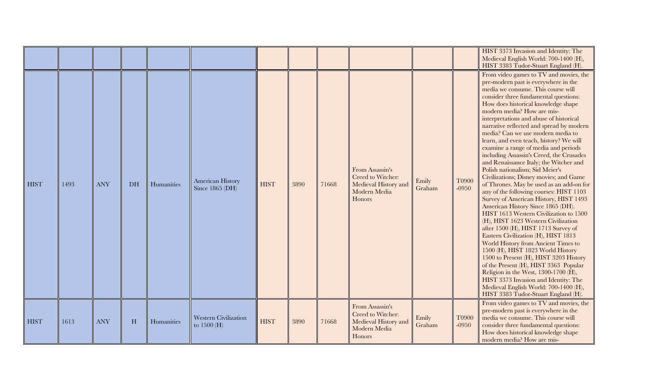|             |      |            |    |            |                                     |             |      |       |                                                                                        |                 |                         | HIST 3373 Invasion and Identity: The<br>Medieval English World: 700-1400 (H),<br>HIST 3383 Tudor-Stuart England (H).                                                                                                                                                                                                                                                                                                                                                                                                                                                                                                                                                                                                                                                                                                                                                                                                                                                                                                                                                                                                                                                                                                                                                                    |
|-------------|------|------------|----|------------|-------------------------------------|-------------|------|-------|----------------------------------------------------------------------------------------|-----------------|-------------------------|-----------------------------------------------------------------------------------------------------------------------------------------------------------------------------------------------------------------------------------------------------------------------------------------------------------------------------------------------------------------------------------------------------------------------------------------------------------------------------------------------------------------------------------------------------------------------------------------------------------------------------------------------------------------------------------------------------------------------------------------------------------------------------------------------------------------------------------------------------------------------------------------------------------------------------------------------------------------------------------------------------------------------------------------------------------------------------------------------------------------------------------------------------------------------------------------------------------------------------------------------------------------------------------------|
| <b>HIST</b> | 1493 | <b>ANY</b> | DH | Humanities | American History<br>Since 1865 (DH) | <b>HIST</b> | 3890 | 71668 | From Assassin's<br>Creed to Witcher:<br>Medieval History and<br>Modern Media<br>Honors | Emily<br>Graham | T0900<br>$-0950$        | From video games to TV and movies, the<br>pre-modern past is everywhere in the<br>media we consume. This course will<br>consider three fundamental questions:<br>How does historical knowledge shape<br>modern media? How are mis-<br>interpretations and abuse of historical<br>narrative reflected and spread by modern<br>media? Can we use modern media to<br>learn, and even teach, history? We will<br>examine a range of media and periods<br>including Assassin's Creed, the Crusades<br>and Renaissance Italy; the Witcher and<br>Polish nationalism; Sid Meier's<br>Civilizations; Disney movies; and Game<br>of Thrones. May be used as an add-on for<br>any of the following courses: HIST 1103<br>Survey of American History, HIST 1493<br>American History Since 1865 (DH).<br>HIST 1613 Western Civilization to 1500<br>(H), HIST 1623 Western Civilization<br>after 1500 (H), HIST 1713 Survey of<br>Eastern Civilization (H), HIST 1813<br>World History from Ancient Times to<br>1500 (H), HIST 1823 World History<br>1500 to Present (H), HIST 3203 History<br>of the Present (H), HIST 3363 Popular<br>Religion in the West, 1300-1700 (H),<br>HIST 3373 Invasion and Identity: The<br>Medieval English World: 700-1400 (H),<br>HIST 3383 Tudor-Stuart England (H). |
| <b>HIST</b> | 1613 | <b>ANY</b> | H  | Humanities | Western Civilization<br>to 1500 (H) | <b>HIST</b> | 3890 | 71668 | From Assassin's<br>Creed to Witcher:<br>Medieval History and<br>Modern Media<br>Honors | Emily<br>Graham | <b>T0900</b><br>$-0950$ | From video games to TV and movies, the<br>pre-modern past is everywhere in the<br>media we consume. This course will<br>consider three fundamental questions:<br>How does historical knowledge shape<br>modern media? How are mis-                                                                                                                                                                                                                                                                                                                                                                                                                                                                                                                                                                                                                                                                                                                                                                                                                                                                                                                                                                                                                                                      |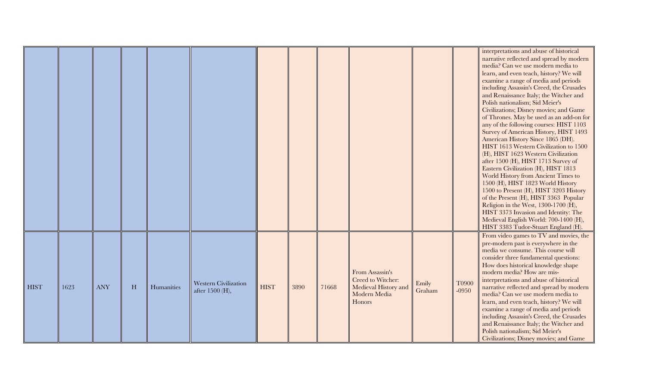|             |      |            |   |            |                                                |             |      |       |                                                                                        |                 |                  | interpretations and abuse of historical<br>narrative reflected and spread by modern<br>media? Can we use modern media to<br>learn, and even teach, history? We will<br>examine a range of media and periods<br>including Assassin's Creed, the Crusades<br>and Renaissance Italy; the Witcher and<br>Polish nationalism; Sid Meier's<br>Civilizations; Disney movies; and Game<br>of Thrones. May be used as an add-on for<br>any of the following courses: HIST 1103<br>Survey of American History, HIST 1493<br>American History Since 1865 (DH).<br>HIST 1613 Western Civilization to 1500<br>(H), HIST 1623 Western Civilization<br>after 1500 (H), HIST 1713 Survey of<br>Eastern Civilization (H), HIST 1813<br>World History from Ancient Times to<br>1500 (H), HIST 1823 World History<br>1500 to Present (H), HIST 3203 History<br>of the Present (H), HIST 3363 Popular<br>Religion in the West, 1300-1700 (H),<br>HIST 3373 Invasion and Identity: The<br>Medieval English World: 700-1400 (H), |
|-------------|------|------------|---|------------|------------------------------------------------|-------------|------|-------|----------------------------------------------------------------------------------------|-----------------|------------------|------------------------------------------------------------------------------------------------------------------------------------------------------------------------------------------------------------------------------------------------------------------------------------------------------------------------------------------------------------------------------------------------------------------------------------------------------------------------------------------------------------------------------------------------------------------------------------------------------------------------------------------------------------------------------------------------------------------------------------------------------------------------------------------------------------------------------------------------------------------------------------------------------------------------------------------------------------------------------------------------------------|
| <b>HIST</b> | 1623 | <b>ANY</b> | H | Humanities | <b>Western Civilization</b><br>after 1500 (H), | <b>HIST</b> | 3890 | 71668 | From Assassin's<br>Creed to Witcher:<br>Medieval History and<br>Modern Media<br>Honors | Emily<br>Graham | T0900<br>$-0950$ | HIST 3383 Tudor-Stuart England (H).<br>From video games to TV and movies, the<br>pre-modern past is everywhere in the<br>media we consume. This course will<br>consider three fundamental questions:<br>How does historical knowledge shape<br>modern media? How are mis-<br>interpretations and abuse of historical<br>narrative reflected and spread by modern<br>media? Can we use modern media to<br>learn, and even teach, history? We will<br>examine a range of media and periods<br>including Assassin's Creed, the Crusades<br>and Renaissance Italy; the Witcher and<br>Polish nationalism; Sid Meier's<br>Civilizations; Disney movies; and Game                                                                                                                                                                                                                                                                                                                                                |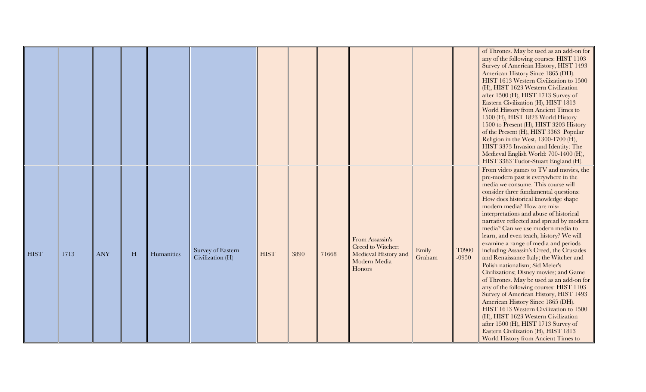|             |      |            |           |            |                                       |             |      |       |                                                                                        |                 |                  | of Thrones. May be used as an add-on for<br>any of the following courses: HIST 1103<br>Survey of American History, HIST 1493<br>American History Since 1865 (DH).<br>HIST 1613 Western Civilization to 1500<br>(H), HIST 1623 Western Civilization<br>after 1500 (H), HIST 1713 Survey of<br>Eastern Civilization (H), HIST 1813<br>World History from Ancient Times to<br>1500 (H), HIST 1823 World History<br>1500 to Present (H), HIST 3203 History<br>of the Present (H), HIST 3363 Popular<br>Religion in the West, 1300-1700 (H),<br>HIST 3373 Invasion and Identity: The<br>Medieval English World: 700-1400 (H),<br>HIST 3383 Tudor-Stuart England (H).                                                                                                                                                                                                                                                                                                                                 |
|-------------|------|------------|-----------|------------|---------------------------------------|-------------|------|-------|----------------------------------------------------------------------------------------|-----------------|------------------|-------------------------------------------------------------------------------------------------------------------------------------------------------------------------------------------------------------------------------------------------------------------------------------------------------------------------------------------------------------------------------------------------------------------------------------------------------------------------------------------------------------------------------------------------------------------------------------------------------------------------------------------------------------------------------------------------------------------------------------------------------------------------------------------------------------------------------------------------------------------------------------------------------------------------------------------------------------------------------------------------|
| <b>HIST</b> | 1713 | <b>ANY</b> | $H_{\rm}$ | Humanities | Survey of Eastern<br>Civilization (H) | <b>HIST</b> | 3890 | 71668 | From Assassin's<br>Creed to Witcher:<br>Medieval History and<br>Modern Media<br>Honors | Emily<br>Graham | T0900<br>$-0950$ | From video games to TV and movies, the<br>pre-modern past is everywhere in the<br>media we consume. This course will<br>consider three fundamental questions:<br>How does historical knowledge shape<br>modern media? How are mis-<br>interpretations and abuse of historical<br>narrative reflected and spread by modern<br>media? Can we use modern media to<br>learn, and even teach, history? We will<br>examine a range of media and periods<br>including Assassin's Creed, the Crusades<br>and Renaissance Italy; the Witcher and<br>Polish nationalism; Sid Meier's<br>Civilizations; Disney movies; and Game<br>of Thrones. May be used as an add-on for<br>any of the following courses: HIST 1103<br>Survey of American History, HIST 1493<br>American History Since 1865 (DH).<br>HIST 1613 Western Civilization to 1500<br>(H), HIST 1623 Western Civilization<br>after 1500 (H), HIST 1713 Survey of<br>Eastern Civilization (H), HIST 1813<br>World History from Ancient Times to |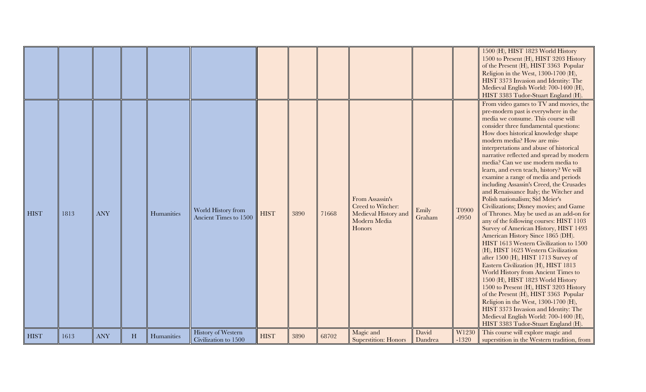|             |      |            |   |            |                                                   |             |      |       |                                                                                        |                  |                  | 1500 (H), HIST 1823 World History<br>1500 to Present (H), HIST 3203 History<br>of the Present (H), HIST 3363 Popular<br>Religion in the West, 1300-1700 (H),<br>HIST 3373 Invasion and Identity: The<br>Medieval English World: 700-1400 (H),<br>HIST 3383 Tudor-Stuart England (H).                                                                                                                                                                                                                                                                                                                                                                                                                                                                                                                                                                                                                                                                                                                                                                                                                                                                                                                                                                                                    |
|-------------|------|------------|---|------------|---------------------------------------------------|-------------|------|-------|----------------------------------------------------------------------------------------|------------------|------------------|-----------------------------------------------------------------------------------------------------------------------------------------------------------------------------------------------------------------------------------------------------------------------------------------------------------------------------------------------------------------------------------------------------------------------------------------------------------------------------------------------------------------------------------------------------------------------------------------------------------------------------------------------------------------------------------------------------------------------------------------------------------------------------------------------------------------------------------------------------------------------------------------------------------------------------------------------------------------------------------------------------------------------------------------------------------------------------------------------------------------------------------------------------------------------------------------------------------------------------------------------------------------------------------------|
| <b>HIST</b> | 1813 | <b>ANY</b> |   | Humanities | World History from<br>Ancient Times to 1500       | <b>HIST</b> | 3890 | 71668 | From Assassin's<br>Creed to Witcher:<br>Medieval History and<br>Modern Media<br>Honors | Emily<br>Graham  | T0900<br>$-0950$ | From video games to TV and movies, the<br>pre-modern past is everywhere in the<br>media we consume. This course will<br>consider three fundamental questions:<br>How does historical knowledge shape<br>modern media? How are mis-<br>interpretations and abuse of historical<br>narrative reflected and spread by modern<br>media? Can we use modern media to<br>learn, and even teach, history? We will<br>examine a range of media and periods<br>including Assassin's Creed, the Crusades<br>and Renaissance Italy; the Witcher and<br>Polish nationalism; Sid Meier's<br>Civilizations; Disney movies; and Game<br>of Thrones. May be used as an add-on for<br>any of the following courses: HIST 1103<br>Survey of American History, HIST 1493<br>American History Since 1865 (DH).<br>HIST 1613 Western Civilization to 1500<br>(H), HIST 1623 Western Civilization<br>after 1500 (H), HIST 1713 Survey of<br>Eastern Civilization (H), HIST 1813<br>World History from Ancient Times to<br>1500 (H), HIST 1823 World History<br>1500 to Present (H), HIST 3203 History<br>of the Present (H), HIST 3363 Popular<br>Religion in the West, 1300-1700 (H),<br>HIST 3373 Invasion and Identity: The<br>Medieval English World: 700-1400 (H),<br>HIST 3383 Tudor-Stuart England (H). |
| <b>HIST</b> | 1613 | <b>ANY</b> | H | Humanities | <b>History of Western</b><br>Civilization to 1500 | <b>HIST</b> | 3890 | 68702 | Magic and<br><b>Superstition: Honors</b>                                               | David<br>Dandrea | W1230<br>$-1320$ | This course will explore magic and<br>superstition in the Western tradition, from                                                                                                                                                                                                                                                                                                                                                                                                                                                                                                                                                                                                                                                                                                                                                                                                                                                                                                                                                                                                                                                                                                                                                                                                       |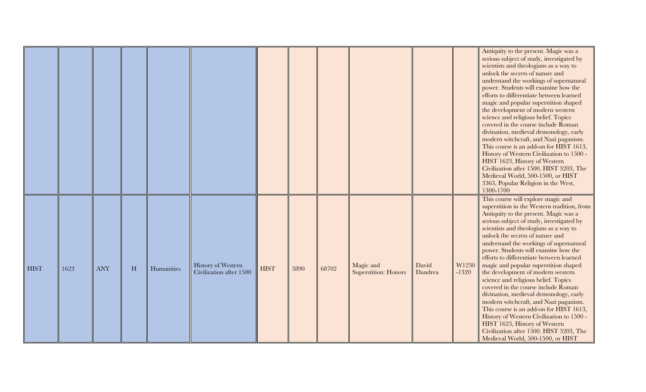|             |      |            |   |            |                                               |             |      |       |                                          |                  |                  | Antiquity to the present. Magic was a<br>serious subject of study, investigated by<br>scientists and theologians as a way to<br>unlock the secrets of nature and<br>understand the workings of supernatural<br>power. Students will examine how the<br>efforts to differentiate between learned<br>magic and popular superstition shaped<br>the development of modern western<br>science and religious belief. Topics<br>covered in the course include Roman<br>divination, medieval demonology, early<br>modern witchcraft, and Nazi paganism.<br>This course is an add-on for HIST 1613,<br>History of Western Civilization to 1500 -<br>HIST 1623, History of Western<br>Civilization after 1500. HIST 3203, The<br>Medieval World, 500-1500, or HIST<br>3363, Popular Religion in the West,                                                            |
|-------------|------|------------|---|------------|-----------------------------------------------|-------------|------|-------|------------------------------------------|------------------|------------------|------------------------------------------------------------------------------------------------------------------------------------------------------------------------------------------------------------------------------------------------------------------------------------------------------------------------------------------------------------------------------------------------------------------------------------------------------------------------------------------------------------------------------------------------------------------------------------------------------------------------------------------------------------------------------------------------------------------------------------------------------------------------------------------------------------------------------------------------------------|
| <b>HIST</b> | 1623 | <b>ANY</b> | H | Humanities | History of Western<br>Civilization after 1500 | <b>HIST</b> | 3890 | 68702 | Magic and<br><b>Superstition: Honors</b> | David<br>Dandrea | W1230<br>$-1320$ | 1300-1700<br>This course will explore magic and<br>superstition in the Western tradition, from<br>Antiquity to the present. Magic was a<br>serious subject of study, investigated by<br>scientists and theologians as a way to<br>unlock the secrets of nature and<br>understand the workings of supernatural<br>power. Students will examine how the<br>efforts to differentiate between learned<br>magic and popular superstition shaped<br>the development of modern western<br>science and religious belief. Topics<br>covered in the course include Roman<br>divination, medieval demonology, early<br>modern witchcraft, and Nazi paganism.<br>This course is an add-on for HIST 1613,<br>History of Western Civilization to 1500 -<br>HIST 1623, History of Western<br>Civilization after 1500. HIST 3203, The<br>Medieval World, 500-1500, or HIST |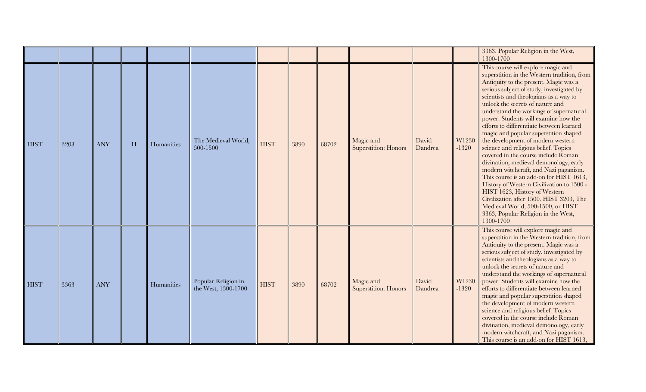|             |      |            |   |            |                                            |             |      |       |                                          |                  |                  | 3363, Popular Religion in the West,                                                                                                                                                                                                                                                                                                                                                                                                                                                                                                                                                                                                                                                                                                                                                                                                                                                               |
|-------------|------|------------|---|------------|--------------------------------------------|-------------|------|-------|------------------------------------------|------------------|------------------|---------------------------------------------------------------------------------------------------------------------------------------------------------------------------------------------------------------------------------------------------------------------------------------------------------------------------------------------------------------------------------------------------------------------------------------------------------------------------------------------------------------------------------------------------------------------------------------------------------------------------------------------------------------------------------------------------------------------------------------------------------------------------------------------------------------------------------------------------------------------------------------------------|
|             |      |            |   |            |                                            |             |      |       |                                          |                  |                  | 1300-1700                                                                                                                                                                                                                                                                                                                                                                                                                                                                                                                                                                                                                                                                                                                                                                                                                                                                                         |
| <b>HIST</b> | 3203 | <b>ANY</b> | H | Humanities | The Medieval World,<br>500-1500            | <b>HIST</b> | 3890 | 68702 | Magic and<br><b>Superstition: Honors</b> | David<br>Dandrea | W1230<br>$-1320$ | This course will explore magic and<br>superstition in the Western tradition, from<br>Antiquity to the present. Magic was a<br>serious subject of study, investigated by<br>scientists and theologians as a way to<br>unlock the secrets of nature and<br>understand the workings of supernatural<br>power. Students will examine how the<br>efforts to differentiate between learned<br>magic and popular superstition shaped<br>the development of modern western<br>science and religious belief. Topics<br>covered in the course include Roman<br>divination, medieval demonology, early<br>modern witchcraft, and Nazi paganism.<br>This course is an add-on for HIST 1613,<br>History of Western Civilization to 1500 -<br>HIST 1623, History of Western<br>Civilization after 1500. HIST 3203, The<br>Medieval World, 500-1500, or HIST<br>3363, Popular Religion in the West,<br>1300-1700 |
| <b>HIST</b> | 3363 | <b>ANY</b> |   | Humanities | Popular Religion in<br>the West, 1300-1700 | <b>HIST</b> | 3890 | 68702 | Magic and<br><b>Superstition: Honors</b> | David<br>Dandrea | W1230<br>$-1320$ | This course will explore magic and<br>superstition in the Western tradition, from<br>Antiquity to the present. Magic was a<br>serious subject of study, investigated by<br>scientists and theologians as a way to<br>unlock the secrets of nature and<br>understand the workings of supernatural<br>power. Students will examine how the<br>efforts to differentiate between learned<br>magic and popular superstition shaped<br>the development of modern western<br>science and religious belief. Topics<br>covered in the course include Roman<br>divination, medieval demonology, early<br>modern witchcraft, and Nazi paganism.<br>This course is an add-on for HIST 1613,                                                                                                                                                                                                                   |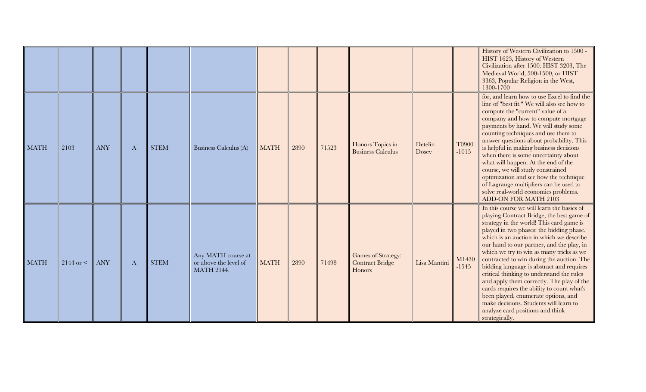|             |                 |            |          |             |                                                                  |             |      |       |                                                        |                  |                  | History of Western Civilization to 1500 -<br>HIST 1623, History of Western<br>Civilization after 1500. HIST 3203, The<br>Medieval World, 500-1500, or HIST<br>3363, Popular Religion in the West,<br>1300-1700                                                                                                                                                                                                                                                                                                                                                                                                                                                                                |
|-------------|-----------------|------------|----------|-------------|------------------------------------------------------------------|-------------|------|-------|--------------------------------------------------------|------------------|------------------|-----------------------------------------------------------------------------------------------------------------------------------------------------------------------------------------------------------------------------------------------------------------------------------------------------------------------------------------------------------------------------------------------------------------------------------------------------------------------------------------------------------------------------------------------------------------------------------------------------------------------------------------------------------------------------------------------|
| <b>MATH</b> | 2103            | <b>ANY</b> | A        | <b>STEM</b> | Business Calculus (A)                                            | <b>MATH</b> | 2890 | 71523 | Honors Topics in<br><b>Business Calculus</b>           | Detelin<br>Dosey | T0900<br>$-1015$ | for, and learn how to use Excel to find the<br>line of "best fit." We will also see how to<br>compute the "current" value of a<br>company and how to compute mortgage<br>payments by hand. We will study some<br>counting techniques and use them to<br>answer questions about probability. This<br>is helpful in making business decisions<br>when there is some uncertainty about<br>what will happen. At the end of the<br>course, we will study constrained<br>optimization and see how the technique<br>of Lagrange multipliers can be used to<br>solve real-world economics problems.<br>ADD-ON FOR MATH 2103                                                                           |
| <b>MATH</b> | $2144$ or $\lt$ | <b>ANY</b> | $\bf{A}$ | <b>STEM</b> | Any MATH course at<br>or above the level of<br><b>MATH 2144.</b> | <b>MATH</b> | 2890 | 71498 | Games of Strategy:<br><b>Contract Bridge</b><br>Honors | Lisa Mantini     | M1430<br>$-1545$ | In this course we will learn the basics of<br>playing Contract Bridge, the best game of<br>strategy in the world! This card game is<br>played in two phases: the bidding phase,<br>which is an auction in which we describe<br>our hand to our partner, and the play, in<br>which we try to win as many tricks as we<br>contracted to win during the auction. The<br>bidding language is abstract and requires<br>critical thinking to understand the rules<br>and apply them correctly. The play of the<br>cards requires the ability to count what's<br>been played, enumerate options, and<br>make decisions. Students will learn to<br>analyze card positions and think<br>strategically. |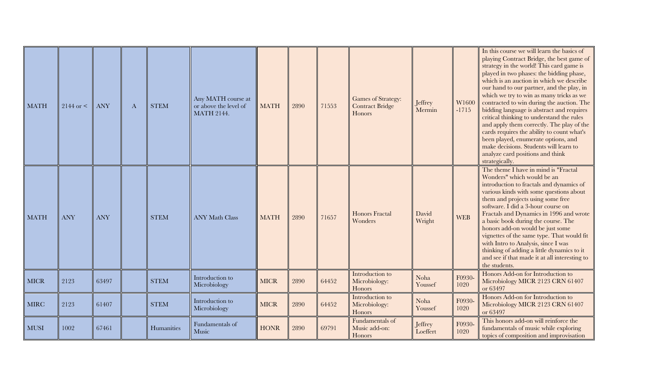| <b>MATH</b> | $2144$ or $\leq$ | <b>ANY</b> | $\bf{A}$ | <b>STEM</b> | Any MATH course at<br>or above the level of<br><b>MATH 2144.</b> | <b>MATH</b> | 2890 | 71553 | <b>Games of Strategy:</b><br><b>Contract Bridge</b><br>Honors | Jeffrey<br>Mermin   | W1600<br>$-1715$ | In this course we will learn the basics of<br>playing Contract Bridge, the best game of<br>strategy in the world! This card game is<br>played in two phases: the bidding phase,<br>which is an auction in which we describe<br>our hand to our partner, and the play, in<br>which we try to win as many tricks as we<br>contracted to win during the auction. The<br>bidding language is abstract and requires<br>critical thinking to understand the rules<br>and apply them correctly. The play of the<br>cards requires the ability to count what's<br>been played, enumerate options, and<br>make decisions. Students will learn to<br>analyze card positions and think<br>strategically. |
|-------------|------------------|------------|----------|-------------|------------------------------------------------------------------|-------------|------|-------|---------------------------------------------------------------|---------------------|------------------|-----------------------------------------------------------------------------------------------------------------------------------------------------------------------------------------------------------------------------------------------------------------------------------------------------------------------------------------------------------------------------------------------------------------------------------------------------------------------------------------------------------------------------------------------------------------------------------------------------------------------------------------------------------------------------------------------|
| <b>MATH</b> | <b>ANY</b>       | <b>ANY</b> |          | <b>STEM</b> | <b>ANY Math Class</b>                                            | <b>MATH</b> | 2890 | 71657 | <b>Honors Fractal</b><br>Wonders                              | David<br>Wright     | <b>WEB</b>       | The theme I have in mind is "Fractal<br>Wonders" which would be an<br>introduction to fractals and dynamics of<br>various kinds with some questions about<br>them and projects using some free<br>software. I did a 3-hour course on<br>Fractals and Dynamics in 1996 and wrote<br>a basic book during the course. The<br>honors add-on would be just some<br>vignettes of the same type. That would fit<br>with Intro to Analysis, since I was<br>thinking of adding a little dynamics to it<br>and see if that made it at all interesting to<br>the students.                                                                                                                               |
| <b>MICR</b> | 2123             | 63497      |          | <b>STEM</b> | Introduction to<br>Microbiology                                  | <b>MICR</b> | 2890 | 64452 | Introduction to<br>Microbiology:<br>Honors                    | Noha<br>Youssef     | F0930-<br>1020   | Honors Add-on for Introduction to<br>Microbiology MICR 2123 CRN 61407<br>or 63497                                                                                                                                                                                                                                                                                                                                                                                                                                                                                                                                                                                                             |
| <b>MIRC</b> | 2123             | 61407      |          | <b>STEM</b> | Introduction to<br>Microbiology                                  | <b>MICR</b> | 2890 | 64452 | Introduction to<br>Microbiology:<br>Honors                    | Noha<br>Youssef     | F0930-<br>1020   | Honors Add-on for Introduction to<br>Microbiology MICR 2123 CRN 61407<br>or 63497                                                                                                                                                                                                                                                                                                                                                                                                                                                                                                                                                                                                             |
| <b>MUSI</b> | 1002             | 67461      |          | Humanities  | Fundamentals of<br>Music                                         | <b>HONR</b> | 2890 | 69791 | Fundamentals of<br>Music add-on:<br>Honors                    | Jeffrey<br>Loeffert | F0930-<br>1020   | This honors add-on will reinforce the<br>fundamentals of music while exploring<br>topics of composition and improvisation                                                                                                                                                                                                                                                                                                                                                                                                                                                                                                                                                                     |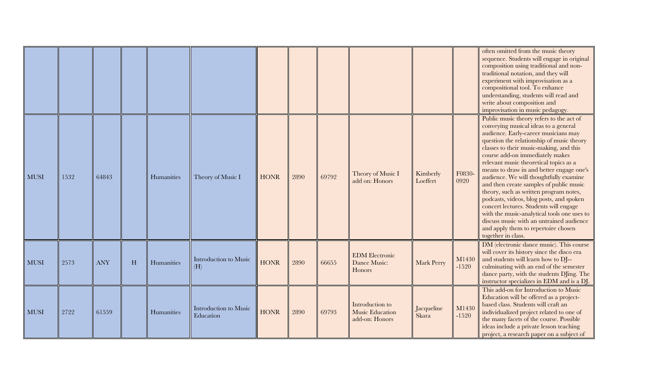|             |      |            |   |            |                                    |             |      |       |                                                      |                      |                  | often omitted from the music theory<br>sequence. Students will engage in original<br>composition using traditional and non-<br>traditional notation, and they will<br>experiment with improvisation as a<br>compositional tool. To enhance<br>understanding, students will read and<br>write about composition and<br>improvisation in music pedagogy.                                                                                                                                                                                                                                                                                                                                                                 |
|-------------|------|------------|---|------------|------------------------------------|-------------|------|-------|------------------------------------------------------|----------------------|------------------|------------------------------------------------------------------------------------------------------------------------------------------------------------------------------------------------------------------------------------------------------------------------------------------------------------------------------------------------------------------------------------------------------------------------------------------------------------------------------------------------------------------------------------------------------------------------------------------------------------------------------------------------------------------------------------------------------------------------|
| <b>MUSI</b> | 1532 | 64843      |   | Humanities | Theory of Music I                  | <b>HONR</b> | 2890 | 69792 | Theory of Music I<br>add on: Honors                  | Kimberly<br>Loeffert | F0830-<br>0920   | Public music theory refers to the act of<br>conveying musical ideas to a general<br>audience. Early-career musicians may<br>question the relationship of music theory<br>classes to their music-making, and this<br>course add-on immediately makes<br>relevant music theoretical topics as a<br>means to draw in and better engage one's<br>audience. We will thoughtfully examine<br>and then create samples of public music<br>theory, such as written program notes,<br>podcasts, videos, blog posts, and spoken<br>concert lectures. Students will engage<br>with the music-analytical tools one uses to<br>discuss music with an untrained audience<br>and apply them to repertoire chosen<br>together in class. |
| MUSI        | 2573 | <b>ANY</b> | H | Humanities | Introduction to Music<br>(H)       | <b>HONR</b> | 2890 | 66655 | <b>EDM</b> Electronic<br>Dance Music:<br>Honors      | Mark Perry           | M1430<br>$-1520$ | DM (electronic dance music). This course<br>will cover its history since the disco era<br>and students will learn how to DJ--<br>culminating with an end of the semester<br>dance party, with the students DJing. The<br>instructor specializes in EDM and is a DJ.                                                                                                                                                                                                                                                                                                                                                                                                                                                    |
| <b>MUSI</b> | 2722 | 61559      |   | Humanities | Introduction to Music<br>Education | <b>HONR</b> | 2890 | 69793 | Introduction to<br>Music Education<br>add-on: Honors | Jacqueline<br>Skara  | M1430<br>$-1520$ | This add-on for Introduction to Music<br>Education will be offered as a project-<br>based class. Students will craft an<br>individualized project related to one of<br>the many facets of the course. Possible<br>ideas include a private lesson teaching<br>project, a research paper on a subject of                                                                                                                                                                                                                                                                                                                                                                                                                 |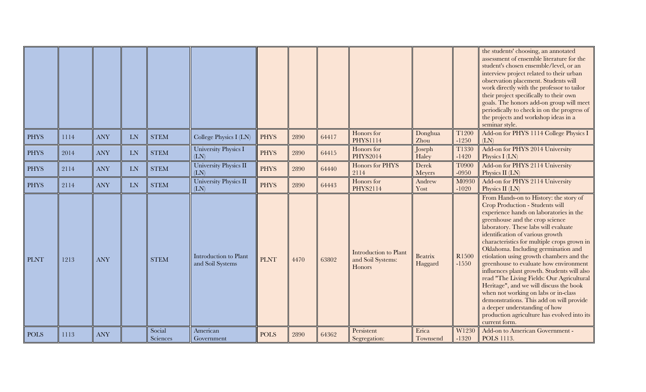|             |      |            |           |                    |                                           |             |      |       |                                                      |                           |                              | the students' choosing, an annotated<br>assessment of ensemble literature for the<br>student's chosen ensemble/level, or an<br>interview project related to their urban<br>observation placement. Students will<br>work directly with the professor to tailor<br>their project specifically to their own<br>goals. The honors add-on group will meet<br>periodically to check in on the progress of<br>the projects and workshop ideas in a<br>seminar style.                                                                                                                                                                                                                                                                               |
|-------------|------|------------|-----------|--------------------|-------------------------------------------|-------------|------|-------|------------------------------------------------------|---------------------------|------------------------------|---------------------------------------------------------------------------------------------------------------------------------------------------------------------------------------------------------------------------------------------------------------------------------------------------------------------------------------------------------------------------------------------------------------------------------------------------------------------------------------------------------------------------------------------------------------------------------------------------------------------------------------------------------------------------------------------------------------------------------------------|
| <b>PHYS</b> | 1114 | <b>ANY</b> | <b>LN</b> | <b>STEM</b>        | College Physics I (LN)                    | <b>PHYS</b> | 2890 | 64417 | Honors for<br><b>PHYS1114</b>                        | Donghua<br>Zhou           | T1200<br>$-1250$             | Add-on for PHYS 1114 College Physics I<br>(LN)                                                                                                                                                                                                                                                                                                                                                                                                                                                                                                                                                                                                                                                                                              |
| <b>PHYS</b> | 2014 | <b>ANY</b> | LN        | <b>STEM</b>        | University Physics I<br>(LN)              | <b>PHYS</b> | 2890 | 64415 | Honors for<br><b>PHYS2014</b>                        | Joseph<br>Haley           | T1330<br>$-1420$             | Add-on for PHYS 2014 University<br>Physics I (LN)                                                                                                                                                                                                                                                                                                                                                                                                                                                                                                                                                                                                                                                                                           |
| <b>PHYS</b> | 2114 | <b>ANY</b> | LN        | <b>STEM</b>        | University Physics II<br>(LN)             | <b>PHYS</b> | 2890 | 64440 | Honors for PHYS<br>2114                              | Derek<br>Meyers           | <b>T0900</b><br>$-0950$      | Add-on for PHYS 2114 University<br>Physics II (LN)                                                                                                                                                                                                                                                                                                                                                                                                                                                                                                                                                                                                                                                                                          |
| <b>PHYS</b> | 2114 | <b>ANY</b> | LN        | <b>STEM</b>        | University Physics II<br>(LN)             | <b>PHYS</b> | 2890 | 64443 | Honors for<br>PHYS2114                               | Andrew<br>Yost            | M0930<br>$-1020$             | Add-on for PHYS 2114 University<br>Physics II (LN)                                                                                                                                                                                                                                                                                                                                                                                                                                                                                                                                                                                                                                                                                          |
| <b>PLNT</b> | 1213 | <b>ANY</b> |           | <b>STEM</b>        | Introduction to Plant<br>and Soil Systems | <b>PLNT</b> | 4470 | 63802 | Introduction to Plant<br>and Soil Systems:<br>Honors | <b>Beatrix</b><br>Haggard | R <sub>1500</sub><br>$-1550$ | From Hands-on to History: the story of<br>Crop Production - Students will<br>experience hands on laboratories in the<br>greenhouse and the crop science<br>laboratory. These labs will evaluate<br>identification of various growth<br>characteristics for multiple crops grown in<br>Oklahoma. Including germination and<br>etiolation using growth chambers and the<br>greenhouse to evaluate how environment<br>influences plant growth. Students will also<br>read "The Living Fields: Our Agricultural<br>Heritage", and we will discuss the book<br>when not working on labs or in-class<br>demonstrations. This add on will provide<br>a deeper understanding of how<br>production agriculture has evolved into its<br>current form. |
| <b>POLS</b> | 1113 | <b>ANY</b> |           | Social<br>Sciences | American<br>Government                    | <b>POLS</b> | 2890 | 64362 | Persistent<br>Segregation:                           | Erica<br>Townsend         | W1230<br>$-1320$             | Add-on to American Government -<br>POLS 1113.                                                                                                                                                                                                                                                                                                                                                                                                                                                                                                                                                                                                                                                                                               |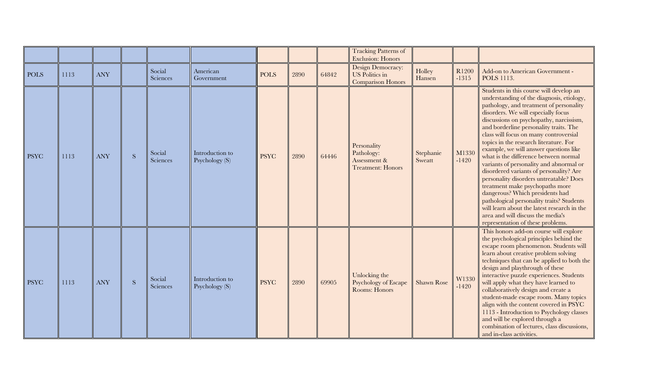|             |      |            |           |                    |                                   |             |      |       | <b>Tracking Patterns of</b><br><b>Exclusion: Honors</b>               |                     |                  |                                                                                                                                                                                                                                                                                                                                                                                                                                                                                                                                                                                                                                                                                                                                                                                                                 |
|-------------|------|------------|-----------|--------------------|-----------------------------------|-------------|------|-------|-----------------------------------------------------------------------|---------------------|------------------|-----------------------------------------------------------------------------------------------------------------------------------------------------------------------------------------------------------------------------------------------------------------------------------------------------------------------------------------------------------------------------------------------------------------------------------------------------------------------------------------------------------------------------------------------------------------------------------------------------------------------------------------------------------------------------------------------------------------------------------------------------------------------------------------------------------------|
| <b>POLS</b> | 1113 | <b>ANY</b> |           | Social<br>Sciences | American<br>Government            | <b>POLS</b> | 2890 | 64842 | Design Democracy:<br>US Politics in<br><b>Comparison Honors</b>       | Holley<br>Hansen    | R1200<br>$-1315$ | Add-on to American Government -<br><b>POLS</b> 1113.                                                                                                                                                                                                                                                                                                                                                                                                                                                                                                                                                                                                                                                                                                                                                            |
| <b>PSYC</b> | 1113 | <b>ANY</b> | ${\bf S}$ | Social<br>Sciences | Introduction to<br>Psychology (S) | <b>PSYC</b> | 2890 | 64446 | Personality<br>Pathology:<br>Assessment &<br><b>Treatment: Honors</b> | Stephanie<br>Sweatt | M1330<br>$-1420$ | Students in this course will develop an<br>understanding of the diagnosis, etiology,<br>pathology, and treatment of personality<br>disorders. We will especially focus<br>discussions on psychopathy, narcissism,<br>and borderline personality traits. The<br>class will focus on many controversial<br>topics in the research literature. For<br>example, we will answer questions like<br>what is the difference between normal<br>variants of personality and abnormal or<br>disordered variants of personality? Are<br>personality disorders untreatable? Does<br>treatment make psychopaths more<br>dangerous? Which presidents had<br>pathological personality traits? Students<br>will learn about the latest research in the<br>area and will discuss the media's<br>representation of these problems. |
| <b>PSYC</b> | 1113 | <b>ANY</b> | ${\bf S}$ | Social<br>Sciences | Introduction to<br>Psychology (S) | <b>PSYC</b> | 2890 | 69905 | Unlocking the<br>Psychology of Escape<br>Rooms: Honors                | <b>Shawn Rose</b>   | W1330<br>$-1420$ | This honors add-on course will explore<br>the psychological principles behind the<br>escape room phenomenon. Students will<br>learn about creative problem solving<br>techniques that can be applied to both the<br>design and playthrough of these<br>interactive puzzle experiences. Students<br>will apply what they have learned to<br>collaboratively design and create a<br>student-made escape room. Many topics<br>align with the content covered in PSYC<br>1113 - Introduction to Psychology classes<br>and will be explored through a<br>combination of lectures, class discussions,<br>and in-class activities.                                                                                                                                                                                     |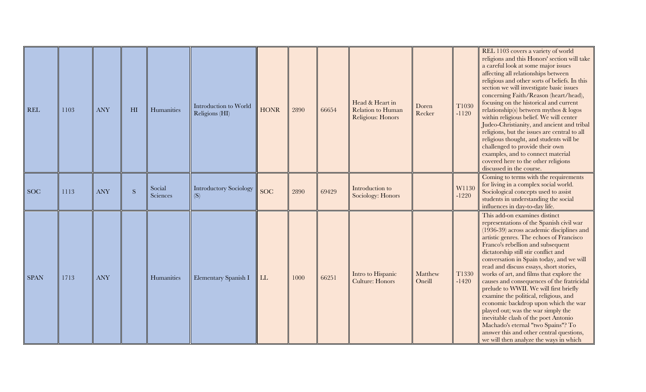| <b>REL</b>  | 1103 | <b>ANY</b> | H1           | Humanities         | Introduction to World<br>Religions (HI) | <b>HONR</b> | 2890 | 66654 | Head & Heart in<br>Relation to Human<br>Religious: Honors | Doren<br>Recker   | T1030<br>$-1120$ | REL 1103 covers a variety of world<br>religions and this Honors' section will take<br>a careful look at some major issues<br>affecting all relationships between<br>religious and other sorts of beliefs. In this<br>section we will investigate basic issues<br>concerning Faith/Reason (heart/head),<br>focusing on the historical and current<br>relationship(s) between mythos & logos<br>within religious belief. We will center<br>Judeo-Christianity, and ancient and tribal<br>religions, but the issues are central to all<br>religious thought, and students will be<br>challenged to provide their own<br>examples, and to connect material<br>covered here to the other religions<br>discussed in the course.                                             |
|-------------|------|------------|--------------|--------------------|-----------------------------------------|-------------|------|-------|-----------------------------------------------------------|-------------------|------------------|-----------------------------------------------------------------------------------------------------------------------------------------------------------------------------------------------------------------------------------------------------------------------------------------------------------------------------------------------------------------------------------------------------------------------------------------------------------------------------------------------------------------------------------------------------------------------------------------------------------------------------------------------------------------------------------------------------------------------------------------------------------------------|
| <b>SOC</b>  | 1113 | <b>ANY</b> | <sub>S</sub> | Social<br>Sciences | <b>Introductory Sociology</b><br>(S)    | <b>SOC</b>  | 2890 | 69429 | Introduction to<br>Sociology: Honors                      |                   | W1130<br>$-1220$ | Coming to terms with the requirements<br>for living in a complex social world.<br>Sociological concepts used to assist<br>students in understanding the social<br>influences in day-to-day life.                                                                                                                                                                                                                                                                                                                                                                                                                                                                                                                                                                      |
| <b>SPAN</b> | 1713 | <b>ANY</b> |              | Humanities         | Elementary Spanish I                    | LL          | 1000 | 66251 | Intro to Hispanic<br><b>Culture: Honors</b>               | Matthew<br>Oneill | T1330<br>$-1420$ | This add-on examines distinct<br>representations of the Spanish civil war<br>(1936-39) across academic disciplines and<br>artistic genres. The echoes of Francisco<br>Franco's rebellion and subsequent<br>dictatorship still stir conflict and<br>conversation in Spain today, and we will<br>read and discuss essays, short stories,<br>works of art, and films that explore the<br>causes and consequences of the fratricidal<br>prelude to WWII. We will first briefly<br>examine the political, religious, and<br>economic backdrop upon which the war<br>played out; was the war simply the<br>inevitable clash of the poet Antonio<br>Machado's eternal "two Spains"? To<br>answer this and other central questions,<br>we will then analyze the ways in which |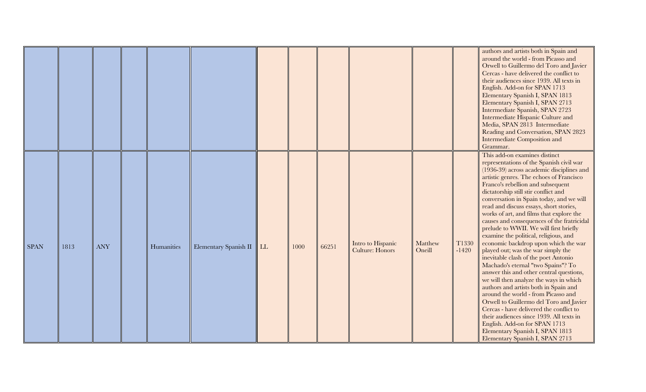|             |      |            |            |                       |    |      |       |                                             |                   |                  | authors and artists both in Spain and<br>around the world - from Picasso and<br>Orwell to Guillermo del Toro and Javier<br>Cercas - have delivered the conflict to<br>their audiences since 1939. All texts in<br>English. Add-on for SPAN 1713<br>Elementary Spanish I, SPAN 1813<br>Elementary Spanish I, SPAN 2713<br>Intermediate Spanish, SPAN 2723<br>Intermediate Hispanic Culture and<br>Media, SPAN 2813 Intermediate<br>Reading and Conversation, SPAN 2823<br><b>Intermediate Composition and</b><br>Grammar.                                                                                                                                                                                                                                                                                                                                                                                                                                                                                                                                                                       |
|-------------|------|------------|------------|-----------------------|----|------|-------|---------------------------------------------|-------------------|------------------|------------------------------------------------------------------------------------------------------------------------------------------------------------------------------------------------------------------------------------------------------------------------------------------------------------------------------------------------------------------------------------------------------------------------------------------------------------------------------------------------------------------------------------------------------------------------------------------------------------------------------------------------------------------------------------------------------------------------------------------------------------------------------------------------------------------------------------------------------------------------------------------------------------------------------------------------------------------------------------------------------------------------------------------------------------------------------------------------|
| <b>SPAN</b> | 1813 | <b>ANY</b> | Humanities | Elementary Spanish II | LL | 1000 | 66251 | Intro to Hispanic<br><b>Culture: Honors</b> | Matthew<br>Oneill | T1330<br>$-1420$ | This add-on examines distinct<br>representations of the Spanish civil war<br>(1936-39) across academic disciplines and<br>artistic genres. The echoes of Francisco<br>Franco's rebellion and subsequent<br>dictatorship still stir conflict and<br>conversation in Spain today, and we will<br>read and discuss essays, short stories,<br>works of art, and films that explore the<br>causes and consequences of the fratricidal<br>prelude to WWII. We will first briefly<br>examine the political, religious, and<br>economic backdrop upon which the war<br>played out; was the war simply the<br>inevitable clash of the poet Antonio<br>Machado's eternal "two Spains"? To<br>answer this and other central questions,<br>we will then analyze the ways in which<br>authors and artists both in Spain and<br>around the world - from Picasso and<br>Orwell to Guillermo del Toro and Javier<br>Cercas - have delivered the conflict to<br>their audiences since 1939. All texts in<br>English. Add-on for SPAN 1713<br>Elementary Spanish I, SPAN 1813<br>Elementary Spanish I, SPAN 2713 |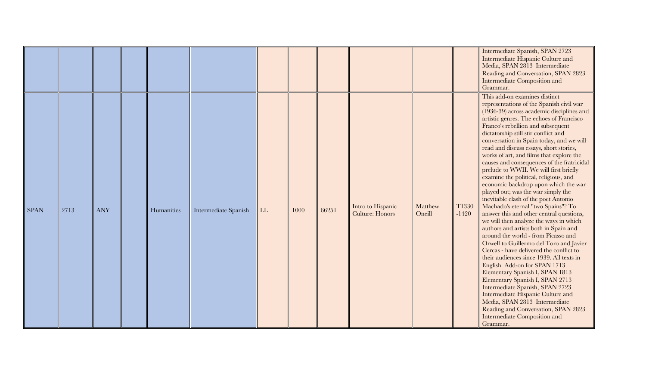|             |      |            |            |                      |    |      |       |                                             |                   |                  | Intermediate Spanish, SPAN 2723<br>Intermediate Hispanic Culture and<br>Media, SPAN 2813 Intermediate<br>Reading and Conversation, SPAN 2823<br><b>Intermediate Composition and</b><br>Grammar.                                                                                                                                                                                                                                                                                                                                                                                                                                                                                                                                                                                                                                                                                                                                                                                                                                                                                                                                                                                                                                                                                                   |
|-------------|------|------------|------------|----------------------|----|------|-------|---------------------------------------------|-------------------|------------------|---------------------------------------------------------------------------------------------------------------------------------------------------------------------------------------------------------------------------------------------------------------------------------------------------------------------------------------------------------------------------------------------------------------------------------------------------------------------------------------------------------------------------------------------------------------------------------------------------------------------------------------------------------------------------------------------------------------------------------------------------------------------------------------------------------------------------------------------------------------------------------------------------------------------------------------------------------------------------------------------------------------------------------------------------------------------------------------------------------------------------------------------------------------------------------------------------------------------------------------------------------------------------------------------------|
| <b>SPAN</b> | 2713 | <b>ANY</b> | Humanities | Intermediate Spanish | LL | 1000 | 66251 | Intro to Hispanic<br><b>Culture: Honors</b> | Matthew<br>Oneill | T1330<br>$-1420$ | This add-on examines distinct<br>representations of the Spanish civil war<br>(1936-39) across academic disciplines and<br>artistic genres. The echoes of Francisco<br>Franco's rebellion and subsequent<br>dictatorship still stir conflict and<br>conversation in Spain today, and we will<br>read and discuss essays, short stories,<br>works of art, and films that explore the<br>causes and consequences of the fratricidal<br>prelude to WWII. We will first briefly<br>examine the political, religious, and<br>economic backdrop upon which the war<br>played out; was the war simply the<br>inevitable clash of the poet Antonio<br>Machado's eternal "two Spains"? To<br>answer this and other central questions,<br>we will then analyze the ways in which<br>authors and artists both in Spain and<br>around the world - from Picasso and<br>Orwell to Guillermo del Toro and Javier<br>Cercas - have delivered the conflict to<br>their audiences since 1939. All texts in<br>English. Add-on for SPAN 1713<br>Elementary Spanish I, SPAN 1813<br>Elementary Spanish I, SPAN 2713<br>Intermediate Spanish, SPAN 2723<br>Intermediate Hispanic Culture and<br>Media, SPAN 2813 Intermediate<br>Reading and Conversation, SPAN 2823<br><b>Intermediate Composition and</b><br>Grammar. |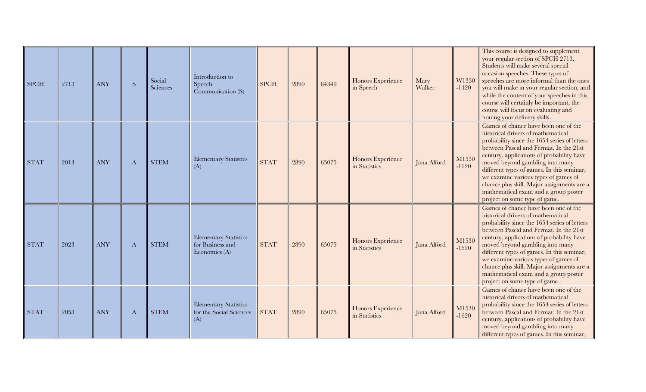| <b>SPCH</b> | 2713 | <b>ANY</b> | S        | Social<br>Sciences | Introduction to<br>Speech<br>Communication (S)                      | <b>SPCH</b> | 2890 | 64349 | Honors Experience<br>in Speech     | Mary<br>Walker | W1330<br>$-1420$ | This course is designed to supplement<br>your regular section of SPCH 2713.<br>Students will make several special<br>occasion speeches. These types of<br>speeches are more informal than the ones<br>you will make in your regular section, and<br>while the content of your speeches in this<br>course will certainly be important, the<br>course will focus on evaluating and<br>honing your delivery skills.                                                  |
|-------------|------|------------|----------|--------------------|---------------------------------------------------------------------|-------------|------|-------|------------------------------------|----------------|------------------|-------------------------------------------------------------------------------------------------------------------------------------------------------------------------------------------------------------------------------------------------------------------------------------------------------------------------------------------------------------------------------------------------------------------------------------------------------------------|
| <b>STAT</b> | 2013 | <b>ANY</b> | $\bf{A}$ | <b>STEM</b>        | <b>Elementary Statistics</b><br>(A)                                 | <b>STAT</b> | 2890 | 65075 | Honors Experience<br>in Statistics | Jana Alford    | M1530<br>$-1620$ | Games of chance have been one of the<br>historical drivers of mathematical<br>probability since the 1654 series of letters<br>between Pascal and Fermat. In the 21st<br>century, applications of probability have<br>moved beyond gambling into many<br>different types of games. In this seminar,<br>we examine various types of games of<br>chance plus skill. Major assignments are a<br>mathematical exam and a group poster<br>project on some type of game. |
| <b>STAT</b> | 2023 | <b>ANY</b> | A        | <b>STEM</b>        | <b>Elementary Statistics</b><br>for Business and<br>Economics $(A)$ | <b>STAT</b> | 2890 | 65075 | Honors Experience<br>in Statistics | Jana Alford    | M1530<br>$-1620$ | Games of chance have been one of the<br>historical drivers of mathematical<br>probability since the 1654 series of letters<br>between Pascal and Fermat. In the 21st<br>century, applications of probability have<br>moved beyond gambling into many<br>different types of games. In this seminar,<br>we examine various types of games of<br>chance plus skill. Major assignments are a<br>mathematical exam and a group poster<br>project on some type of game. |
| <b>STAT</b> | 2053 | <b>ANY</b> | A        | <b>STEM</b>        | <b>Elementary Statistics</b><br>for the Social Sciences<br>(A)      | <b>STAT</b> | 2890 | 65075 | Honors Experience<br>in Statistics | Jana Alford    | M1530<br>$-1620$ | Games of chance have been one of the<br>historical drivers of mathematical<br>probability since the 1654 series of letters<br>between Pascal and Fermat. In the 21st<br>century, applications of probability have<br>moved beyond gambling into many<br>different types of games. In this seminar,                                                                                                                                                                |